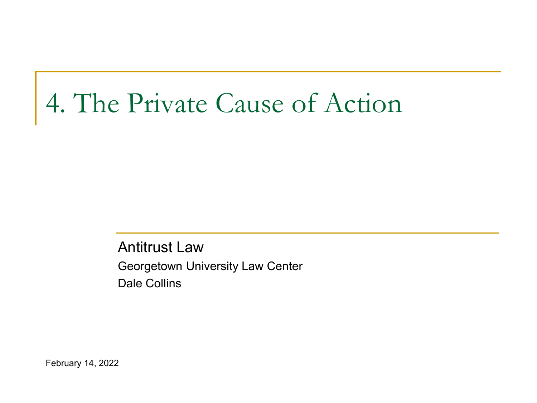# 4. The Private Cause of Action

Antitrust Law Georgetown University Law Center Dale Collins

February 14, 2022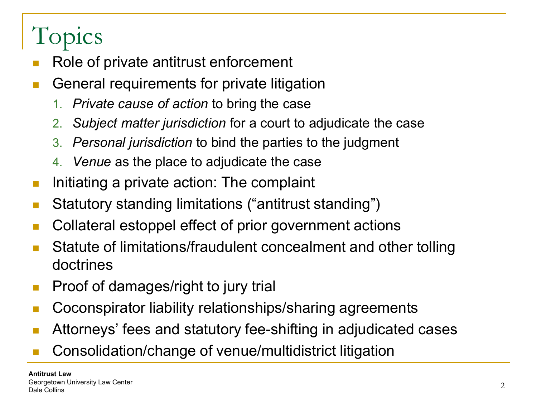# Topics

- Role of private antitrust enforcement
- General requirements for private litigation
	- 1. *Private cause of action* to bring the case
	- 2. *Subject matter jurisdiction* for a court to adjudicate the case
	- 3. *Personal jurisdiction* to bind the parties to the judgment
	- 4. *Venue* as the place to adjudicate the case
- **Initiating a private action: The complaint**
- Statutory standing limitations ("antitrust standing")
- Collateral estoppel effect of prior government actions
- Statute of limitations/fraudulent concealment and other tolling doctrines
- **Proof of damages/right to jury trial**
- **Coconspirator liability relationships/sharing agreements**
- Attorneys' fees and statutory fee-shifting in adjudicated cases
- Consolidation/change of venue/multidistrict litigation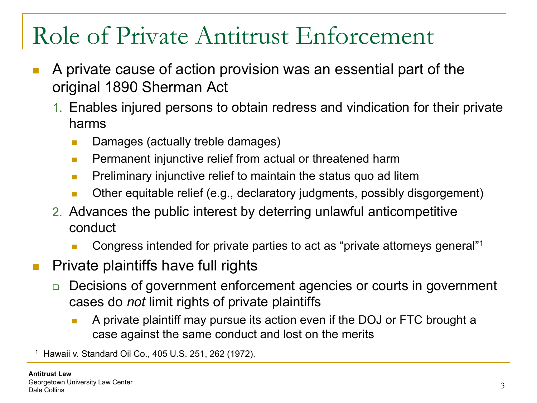#### Role of Private Antitrust Enforcement

- A private cause of action provision was an essential part of the original 1890 Sherman Act
	- 1. Enables injured persons to obtain redress and vindication for their private harms
		- Damages (actually treble damages)
		- **Permanent injunctive relief from actual or threatened harm**
		- **Preliminary injunctive relief to maintain the status quo ad litem**
		- **Durian** Other equitable relief (e.g., declaratory judgments, possibly disgorgement)
	- 2. Advances the public interest by deterring unlawful anticompetitive conduct
		- Congress intended for private parties to act as "private attorneys general"1
- $\blacksquare$  Private plaintiffs have full rights
	- □ Decisions of government enforcement agencies or courts in government cases do *not* limit rights of private plaintiffs
		- A private plaintiff may pursue its action even if the DOJ or FTC brought a case against the same conduct and lost on the merits

<sup>1</sup> Hawaii v. Standard Oil Co., 405 U.S. 251, 262 (1972).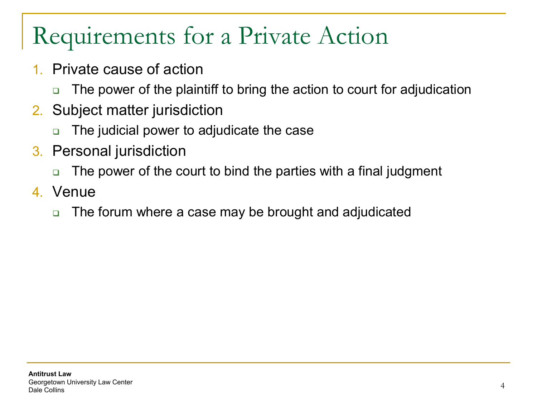# Requirements for a Private Action

- 1. Private cause of action
	- □ The power of the plaintiff to bring the action to court for adjudication
- 2. Subject matter jurisdiction
	- The judicial power to adjudicate the case
- 3. Personal jurisdiction
	- □ The power of the court to bind the parties with a final judgment
- 4. Venue
	- □ The forum where a case may be brought and adjudicated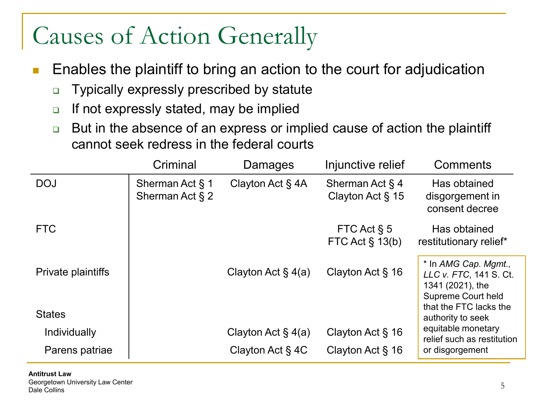#### Causes of Action Generally

- Enables the plaintiff to bring an action to the court for adjudication
	- □ Typically expressly prescribed by statute
	- $\Box$  If not expressly stated, may be implied
	- □ But in the absence of an express or implied cause of action the plaintiff cannot seek redress in the federal courts

|                    | Criminal                              | Damages               | Injunctive relief                         | Comments                                                                                                           |
|--------------------|---------------------------------------|-----------------------|-------------------------------------------|--------------------------------------------------------------------------------------------------------------------|
| <b>DOJ</b>         | Sherman Act § 1<br>Sherman Act $\S$ 2 | Clayton Act $\S$ 4A   | Sherman Act $\S$ 4<br>Clayton Act $\S$ 15 | Has obtained<br>disgorgement in<br>consent decree                                                                  |
| <b>FTC</b>         |                                       |                       | FTC Act $\S$ 5<br>FTC Act $\S$ 13(b)      | Has obtained<br>restitutionary relief*                                                                             |
| Private plaintiffs |                                       | Clayton Act $\S$ 4(a) | Clayton Act $\S$ 16                       | * In AMG Cap. Mgmt.,<br>LLC v. FTC, 141 S. Ct.<br>1341 (2021), the<br>Supreme Court held<br>that the FTC lacks the |
| <b>States</b>      |                                       |                       |                                           | authority to seek                                                                                                  |
| Individually       |                                       | Clayton Act $\S$ 4(a) | Clayton Act $\S$ 16                       | equitable monetary<br>relief such as restitution                                                                   |
| Parens patriae     |                                       | Clayton Act $\S$ 4C   | Clayton Act $\S$ 16                       | or disgorgement                                                                                                    |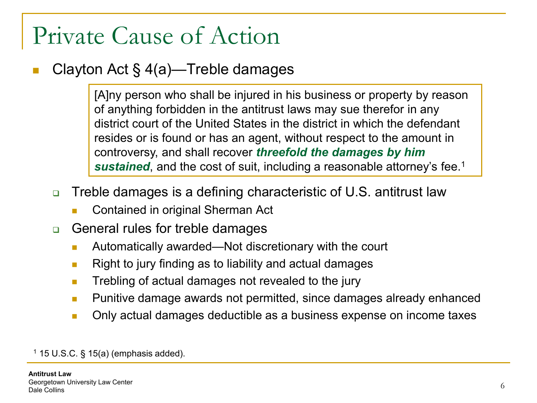#### Clayton Act § 4(a)—Treble damages

[A]ny person who shall be injured in his business or property by reason of anything forbidden in the antitrust laws may sue therefor in any district court of the United States in the district in which the defendant resides or is found or has an agent, without respect to the amount in controversy, and shall recover *threefold the damages by him sustained*, and the cost of suit, including a reasonable attorney's fee.1

- Treble damages is a defining characteristic of U.S. antitrust law
	- Contained in original Sherman Act
- **□** General rules for treble damages
	- Automatically awarded—Not discretionary with the court
	- **Right to jury finding as to liability and actual damages**
	- **Trebling of actual damages not revealed to the jury**
	- **Punitive damage awards not permitted, since damages already enhanced**
	- **Demogle 2016** Only actual damages deductible as a business expense on income taxes

 $1$  15 U.S.C. § 15(a) (emphasis added).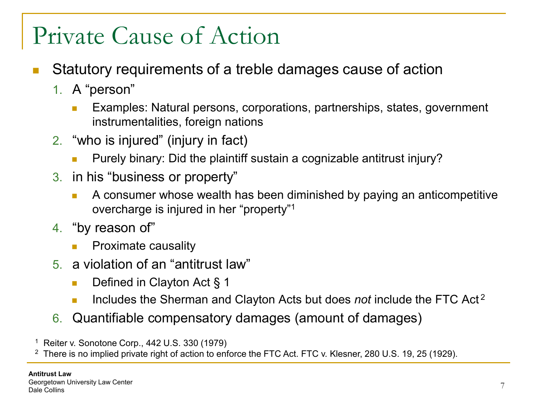- Statutory requirements of a treble damages cause of action
	- 1. A "person"
		- **Examples: Natural persons, corporations, partnerships, states, government** instrumentalities, foreign nations
	- 2. "who is injured" (injury in fact)
		- Purely binary: Did the plaintiff sustain a cognizable antitrust injury?
	- 3. in his "business or property"
		- **A** consumer whose wealth has been diminished by paying an anticompetitive overcharge is injured in her "property"1
	- 4. "by reason of"
		- **Proximate causality**
	- 5. a violation of an "antitrust law"
		- Defined in Clayton Act § 1
		- Includes the Sherman and Clayton Acts but does *not* include the FTC Act<sup>2</sup>
	- 6. Quantifiable compensatory damages (amount of damages)
- <sup>1</sup> Reiter v. Sonotone Corp., 442 U.S. 330 (1979)
- <sup>2</sup> There is no implied private right of action to enforce the FTC Act. FTC v. Klesner, 280 U.S. 19, 25 (1929).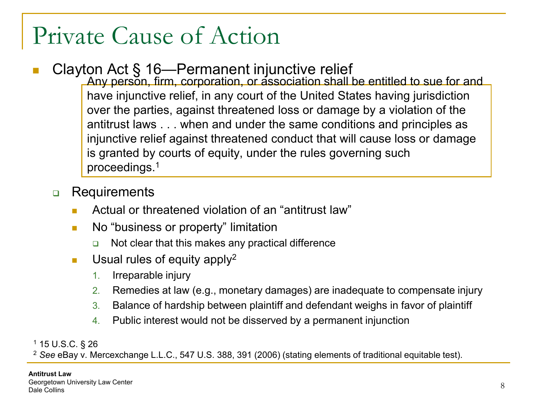#### ■ Clayton Act § 16—Permanent injunctive relief

Any person, firm, corporation, or association shall be entitled to sue for and have injunctive relief, in any court of the United States having jurisdiction over the parties, against threatened loss or damage by a violation of the antitrust laws . . . when and under the same conditions and principles as injunctive relief against threatened conduct that will cause loss or damage is granted by courts of equity, under the rules governing such proceedings.1

#### **Requirements**

- Actual or threatened violation of an "antitrust law"
- **No "business or property" limitation** 
	- Not clear that this makes any practical difference
- **Usual rules of equity apply**<sup>2</sup>
	- 1. Irreparable injury
	- 2. Remedies at law (e.g., monetary damages) are inadequate to compensate injury
	- 3. Balance of hardship between plaintiff and defendant weighs in favor of plaintiff
	- 4. Public interest would not be disserved by a permanent injunction

<sup>1</sup> 15 U.S.C. § 26

<sup>2</sup> *See* eBay v. Mercexchange L.L.C., 547 U.S. 388, 391 (2006) (stating elements of traditional equitable test).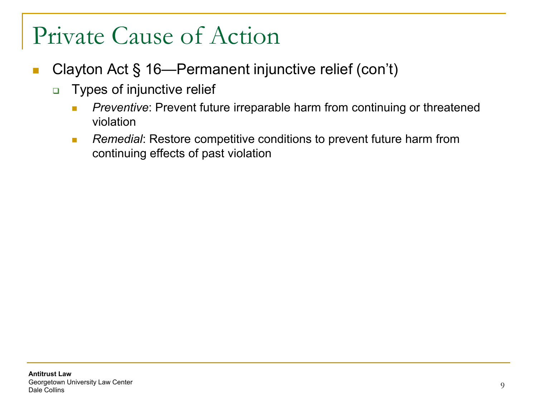- Clayton Act § 16—Permanent injunctive relief (con't)
	- **Types of injunctive relief** 
		- **Preventive:** Prevent future irreparable harm from continuing or threatened violation
		- **Remedial:** Restore competitive conditions to prevent future harm from continuing effects of past violation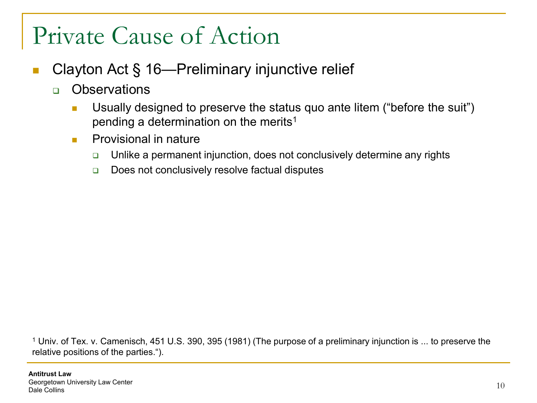- Clayton Act § 16—Preliminary injunctive relief
	- **D** Observations
		- **Usually designed to preserve the status quo ante litem ("before the suit")** pending a determination on the merits<sup>1</sup>
		- **Provisional in nature** 
			- $\Box$  Unlike a permanent injunction, does not conclusively determine any rights
			- Does not conclusively resolve factual disputes

<sup>1</sup> Univ. of Tex. v. Camenisch, 451 U.S. 390, 395 (1981) (The purpose of a preliminary injunction is ... to preserve the relative positions of the parties.").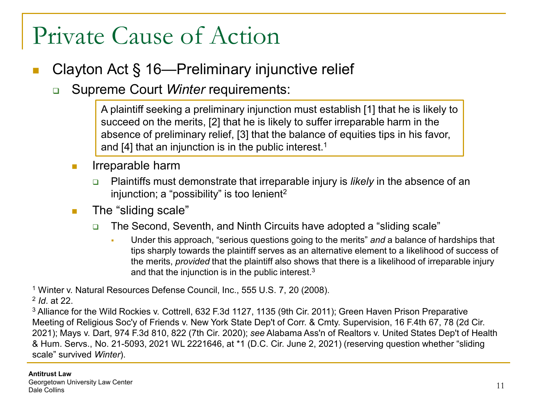#### Clayton Act § 16—Preliminary injunctive relief

**Bupreme Court Winter requirements:** 

A plaintiff seeking a preliminary injunction must establish [1] that he is likely to succeed on the merits, [2] that he is likely to suffer irreparable harm in the absence of preliminary relief, [3] that the balance of equities tips in his favor, and [4] that an injunction is in the public interest.<sup>1</sup>

- $\blacksquare$  Irreparable harm
	- Plaintiffs must demonstrate that irreparable injury is *likely* in the absence of an injunction; a "possibility" is too lenient<sup>2</sup>
- **The "sliding scale"** 
	- □ The Second, Seventh, and Ninth Circuits have adopted a "sliding scale"
		- Under this approach, "serious questions going to the merits" *and* a balance of hardships that tips sharply towards the plaintiff serves as an alternative element to a likelihood of success of the merits, *provided* that the plaintiff also shows that there is a likelihood of irreparable injury and that the injunction is in the public interest.3

<sup>1</sup> Winter v. Natural Resources Defense Council, Inc., 555 U.S. 7, 20 (2008).

<sup>2</sup> *Id*. at 22.

<sup>3</sup> Alliance for the Wild Rockies v. Cottrell, 632 F.3d 1127, 1135 (9th Cir. 2011); Green Haven Prison Preparative Meeting of Religious Soc'y of Friends v. New York State Dep't of Corr. & Cmty. Supervision, 16 F.4th 67, 78 (2d Cir. 2021); Mays v. Dart, 974 F.3d 810, 822 (7th Cir. 2020); *see* Alabama Ass'n of Realtors v. United States Dep't of Health & Hum. Servs., No. 21-5093, 2021 WL 2221646, at \*1 (D.C. Cir. June 2, 2021) (reserving question whether "sliding scale" survived *Winter*).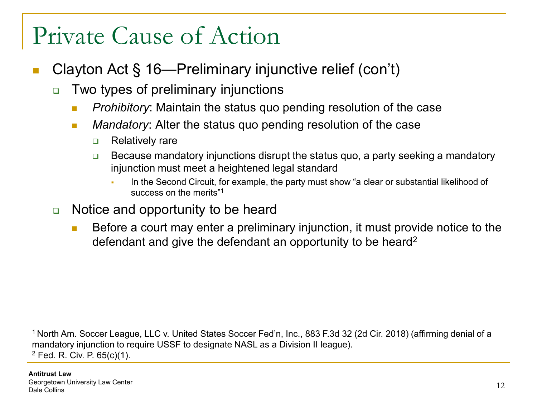- Clayton Act § 16—Preliminary injunctive relief (con't)
	- □ Two types of preliminary injunctions
		- **Prohibitory:** Maintain the status quo pending resolution of the case
		- *Mandatory*: Alter the status quo pending resolution of the case
			- **D** Relatively rare
			- **Because mandatory injunctions disrupt the status quo, a party seeking a mandatory** injunction must meet a heightened legal standard
				- In the Second Circuit, for example, the party must show "a clear or substantial likelihood of success on the merits"1
	- $\Box$  Notice and opportunity to be heard
		- Before a court may enter a preliminary injunction, it must provide notice to the defendant and give the defendant an opportunity to be heard<sup>2</sup>

1 North Am. Soccer League, LLC v. United States Soccer Fed'n, Inc., 883 F.3d 32 (2d Cir. 2018) (affirming denial of a mandatory injunction to require USSF to designate NASL as a Division II league). <sup>2</sup> Fed. R. Civ. P. 65(c)(1).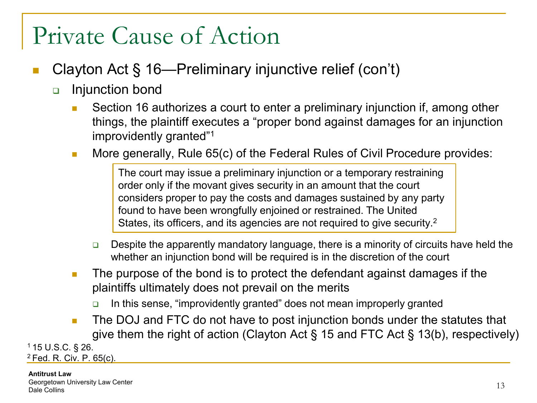- Clayton Act § 16—Preliminary injunctive relief (con't)
	- Injunction bond
		- Section 16 authorizes a court to enter a preliminary injunction if, among other things, the plaintiff executes a "proper bond against damages for an injunction improvidently granted"1
		- **More generally, Rule 65(c) of the Federal Rules of Civil Procedure provides:**

The court may issue a preliminary injunction or a temporary restraining order only if the movant gives security in an amount that the court considers proper to pay the costs and damages sustained by any party found to have been wrongfully enjoined or restrained. The United States, its officers, and its agencies are not required to give security.2

- □ Despite the apparently mandatory language, there is a minority of circuits have held the whether an injunction bond will be required is in the discretion of the court
- **The purpose of the bond is to protect the defendant against damages if the** plaintiffs ultimately does not prevail on the merits
	- In this sense, "improvidently granted" does not mean improperly granted
- **The DOJ and FTC do not have to post injunction bonds under the statutes that** give them the right of action (Clayton Act § 15 and FTC Act § 13(b), respectively)

1 15 U.S.C. § 26. 2 Fed. R. Civ. P. 65(c).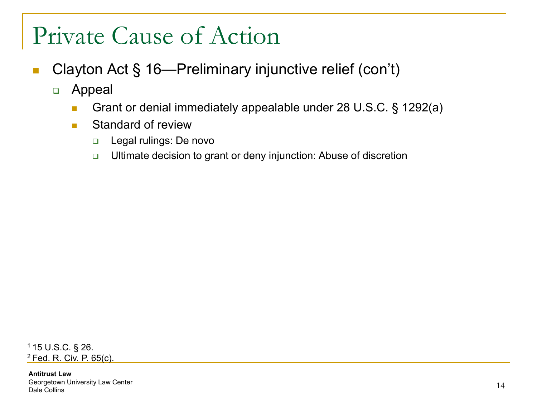- Clayton Act § 16—Preliminary injunctive relief (con't)
	- Appeal
		- Grant or denial immediately appealable under 28 U.S.C. § 1292(a)
		- Standard of review
			- **Legal rulings: De novo**
			- □ Ultimate decision to grant or deny injunction: Abuse of discretion

1 15 U.S.C. § 26. 2 Fed. R. Civ. P. 65(c).

**Antitrust Law** Georgetown University Law Center Dale Collins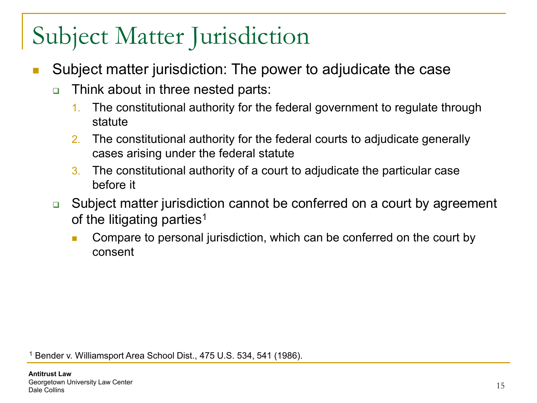- Subject matter jurisdiction: The power to adjudicate the case
	- Think about in three nested parts:
		- 1. The constitutional authority for the federal government to regulate through statute
		- 2. The constitutional authority for the federal courts to adjudicate generally cases arising under the federal statute
		- 3. The constitutional authority of a court to adjudicate the particular case before it
	- **□** Subject matter jurisdiction cannot be conferred on a court by agreement of the litigating parties<sup>1</sup>
		- Compare to personal jurisdiction, which can be conferred on the court by consent

<sup>1</sup> Bender v. Williamsport Area School Dist., 475 U.S. 534, 541 (1986).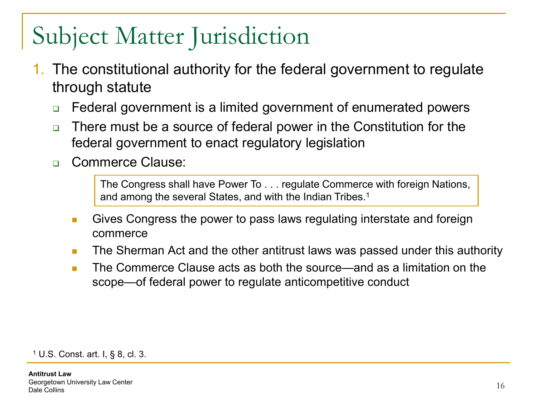- 1. The constitutional authority for the federal government to regulate through statute
	- □ Federal government is a limited government of enumerated powers
	- There must be a source of federal power in the Constitution for the federal government to enact regulatory legislation
	- Commerce Clause:

The Congress shall have Power To . . . regulate Commerce with foreign Nations, and among the several States, and with the Indian Tribes.<sup>1</sup>

- **Gives Congress the power to pass laws regulating interstate and foreign** commerce
- **The Sherman Act and the other antitrust laws was passed under this authority**
- The Commerce Clause acts as both the source—and as a limitation on the scope—of federal power to regulate anticompetitive conduct

<sup>1</sup> U.S. Const. art. I, § 8, cl. 3.

**Antitrust Law** Georgetown University Law Center Dale Collins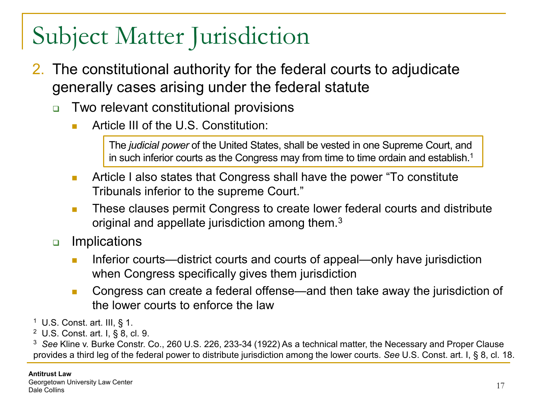- 2. The constitutional authority for the federal courts to adjudicate generally cases arising under the federal statute
	- Two relevant constitutional provisions
		- Article III of the U.S. Constitution:

The *judicial power* of the United States, shall be vested in one Supreme Court, and in such inferior courts as the Congress may from time to time ordain and establish.<sup>1</sup>

- **Article I also states that Congress shall have the power "To constitute**" Tribunals inferior to the supreme Court."
- **These clauses permit Congress to create lower federal courts and distribute** original and appellate jurisdiction among them.3
- **u** Implications
	- Inferior courts—district courts and courts of appeal—only have jurisdiction when Congress specifically gives them jurisdiction
	- Congress can create a federal offense—and then take away the jurisdiction of the lower courts to enforce the law
- $1$  U.S. Const. art. III, § 1.
- <sup>2</sup> U.S. Const. art. I, § 8, cl. 9.

<sup>3</sup> *See* Kline v. Burke Constr. Co., 260 U.S. 226, 233-34 (1922) As a technical matter, the Necessary and Proper Clause provides a third leg of the federal power to distribute jurisdiction among the lower courts. *See* U.S. Const. art. I, § 8, cl. 18.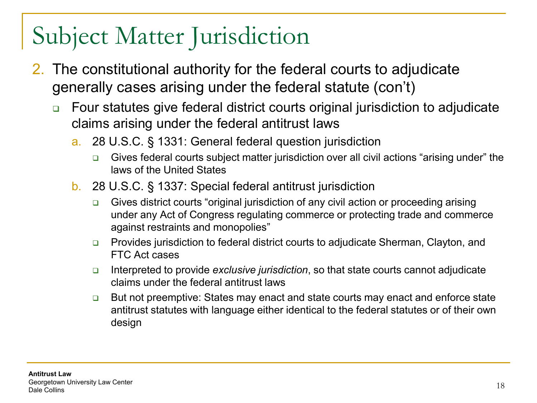- 2. The constitutional authority for the federal courts to adjudicate generally cases arising under the federal statute (con't)
	- Four statutes give federal district courts original jurisdiction to adjudicate claims arising under the federal antitrust laws
		- a. 28 U.S.C. § 1331: General federal question jurisdiction
			- Gives federal courts subject matter jurisdiction over all civil actions "arising under" the laws of the United States
		- b. 28 U.S.C. § 1337: Special federal antitrust jurisdiction
			- □ Gives district courts "original jurisdiction of any civil action or proceeding arising under any Act of Congress regulating commerce or protecting trade and commerce against restraints and monopolies"
			- **Provides jurisdiction to federal district courts to adjudicate Sherman, Clayton, and** FTC Act cases
			- Interpreted to provide *exclusive jurisdiction*, so that state courts cannot adjudicate claims under the federal antitrust laws
			- **□** But not preemptive: States may enact and state courts may enact and enforce state antitrust statutes with language either identical to the federal statutes or of their own design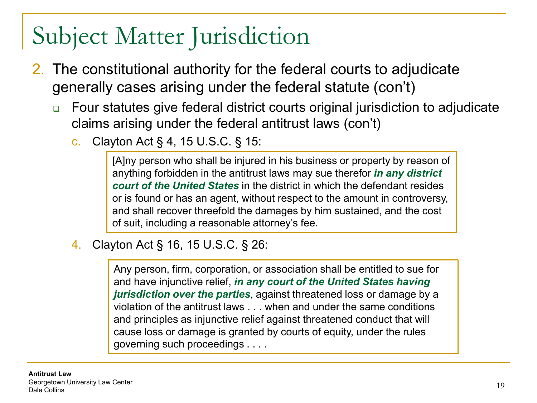- 2. The constitutional authority for the federal courts to adjudicate generally cases arising under the federal statute (con't)
	- Four statutes give federal district courts original jurisdiction to adjudicate claims arising under the federal antitrust laws (con't)
		- c. Clayton Act § 4, 15 U.S.C. § 15:

[A]ny person who shall be injured in his business or property by reason of anything forbidden in the antitrust laws may sue therefor *in any district court of the United States* in the district in which the defendant resides or is found or has an agent, without respect to the amount in controversy, and shall recover threefold the damages by him sustained, and the cost of suit, including a reasonable attorney's fee.

4. Clayton Act § 16, 15 U.S.C. § 26:

Any person, firm, corporation, or association shall be entitled to sue for and have injunctive relief, *in any court of the United States having jurisdiction over the parties*, against threatened loss or damage by a violation of the antitrust laws . . . when and under the same conditions and principles as injunctive relief against threatened conduct that will cause loss or damage is granted by courts of equity, under the rules governing such proceedings . . . .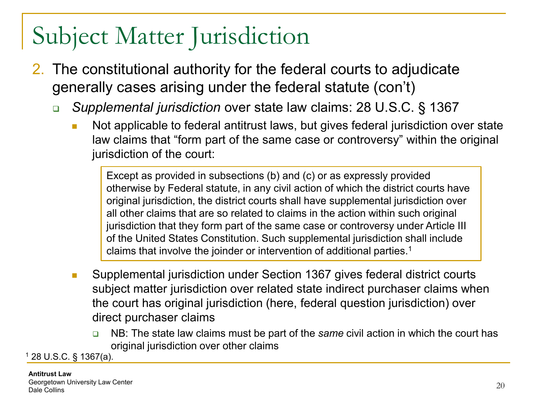- 2. The constitutional authority for the federal courts to adjudicate generally cases arising under the federal statute (con't)
	- *Supplemental jurisdiction* over state law claims: 28 U.S.C. § 1367
		- Not applicable to federal antitrust laws, but gives federal jurisdiction over state law claims that "form part of the same case or controversy" within the original jurisdiction of the court:

Except as provided in subsections (b) and (c) or as expressly provided otherwise by Federal statute, in any civil action of which the district courts have original jurisdiction, the district courts shall have supplemental jurisdiction over all other claims that are so related to claims in the action within such original jurisdiction that they form part of the same case or controversy under Article III of the United States Constitution. Such supplemental jurisdiction shall include claims that involve the joinder or intervention of additional parties.1

- Supplemental jurisdiction under Section 1367 gives federal district courts subject matter jurisdiction over related state indirect purchaser claims when the court has original jurisdiction (here, federal question jurisdiction) over direct purchaser claims
	- NB: The state law claims must be part of the *same* civil action in which the court has original jurisdiction over other claims

<sup>1</sup> 28 U.S.C. § 1367(a).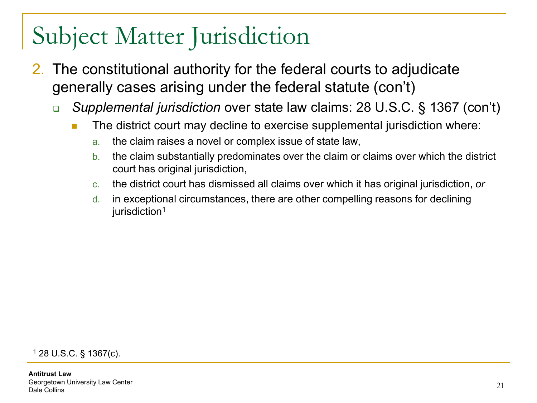- 2. The constitutional authority for the federal courts to adjudicate generally cases arising under the federal statute (con't)
	- *Supplemental jurisdiction* over state law claims: 28 U.S.C. § 1367 (con't)
		- **The district court may decline to exercise supplemental jurisdiction where:** 
			- a. the claim raises a novel or complex issue of state law,
			- b. the claim substantially predominates over the claim or claims over which the district court has original jurisdiction,
			- c. the district court has dismissed all claims over which it has original jurisdiction, *or*
			- d. in exceptional circumstances, there are other compelling reasons for declining jurisdiction<sup>1</sup>

<sup>1</sup> 28 U.S.C. § 1367(c).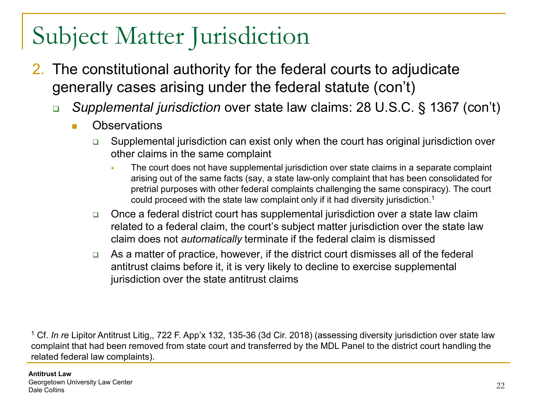- 2. The constitutional authority for the federal courts to adjudicate generally cases arising under the federal statute (con't)
	- *Supplemental jurisdiction* over state law claims: 28 U.S.C. § 1367 (con't)
		- **n** Observations
			- **□** Supplemental jurisdiction can exist only when the court has original jurisdiction over other claims in the same complaint
				- The court does not have supplemental jurisdiction over state claims in a separate complaint arising out of the same facts (say, a state law-only complaint that has been consolidated for pretrial purposes with other federal complaints challenging the same conspiracy). The court could proceed with the state law complaint only if it had diversity jurisdiction.1
			- □ Once a federal district court has supplemental jurisdiction over a state law claim related to a federal claim, the court's subject matter jurisdiction over the state law claim does not *automatically* terminate if the federal claim is dismissed
			- $\Box$  As a matter of practice, however, if the district court dismisses all of the federal antitrust claims before it, it is very likely to decline to exercise supplemental jurisdiction over the state antitrust claims

<sup>1</sup> Cf. *In re* Lipitor Antitrust Litig,, 722 F. App'x 132, 135-36 (3d Cir. 2018) (assessing diversity jurisdiction over state law complaint that had been removed from state court and transferred by the MDL Panel to the district court handling the related federal law complaints).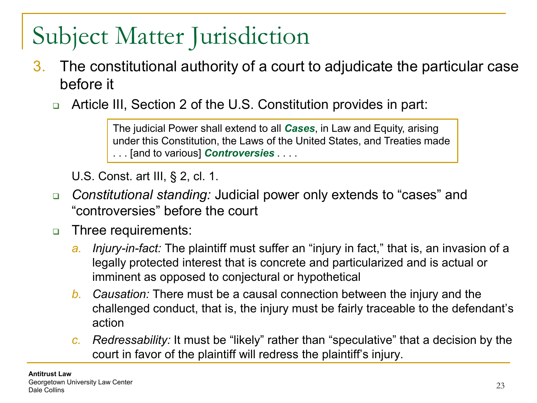- 3. The constitutional authority of a court to adjudicate the particular case before it
	- Article III, Section 2 of the U.S. Constitution provides in part:

The judicial Power shall extend to all *Cases*, in Law and Equity, arising under this Constitution, the Laws of the United States, and Treaties made . . . [and to various] *Controversies* . . . .

U.S. Const. art III, § 2, cl. 1.

- *Constitutional standing:* Judicial power only extends to "cases" and "controversies" before the court
- **D** Three requirements:
	- *a. Injury-in-fact:* The plaintiff must suffer an "injury in fact," that is, an invasion of a legally protected interest that is concrete and particularized and is actual or imminent as opposed to conjectural or hypothetical
	- *b. Causation:* There must be a causal connection between the injury and the challenged conduct, that is, the injury must be fairly traceable to the defendant's action
	- *c. Redressability:* It must be "likely" rather than "speculative" that a decision by the court in favor of the plaintiff will redress the plaintiff's injury.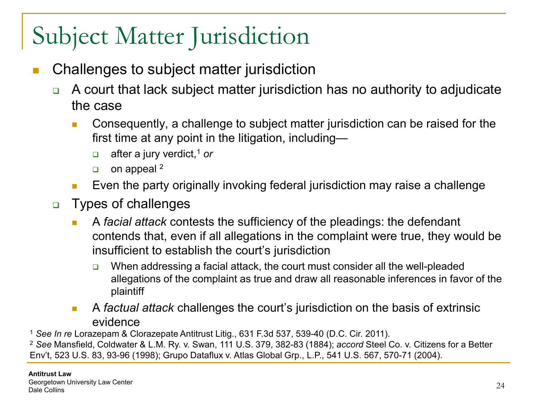- Challenges to subject matter jurisdiction
	- □ A court that lack subject matter jurisdiction has no authority to adjudicate the case
		- **Consequently, a challenge to subject matter jurisdiction can be raised for the** first time at any point in the litigation, including—
			- □ after a jury verdict,<sup>1</sup> or
			- $\Box$  on appeal <sup>2</sup>
		- **Exen the party originally invoking federal jurisdiction may raise a challenge**
	- **D** Types of challenges
		- A *facial attack* contests the sufficiency of the pleadings: the defendant contends that, even if all allegations in the complaint were true, they would be insufficient to establish the court's jurisdiction
			- $\Box$  When addressing a facial attack, the court must consider all the well-pleaded allegations of the complaint as true and draw all reasonable inferences in favor of the plaintiff
		- A *factual attack* challenges the court's jurisdiction on the basis of extrinsic evidence

<sup>1</sup> *See In re* Lorazepam & Clorazepate Antitrust Litig., 631 F.3d 537, 539-40 (D.C. Cir. 2011).

<sup>2</sup> *See* Mansfield, Coldwater & L.M. Ry. v. Swan, 111 U.S. 379, 382-83 (1884); *accord* Steel Co. v. Citizens for a Better Env't, 523 U.S. 83, 93-96 (1998); Grupo Dataflux v. Atlas Global Grp., L.P., 541 U.S. 567, 570-71 (2004).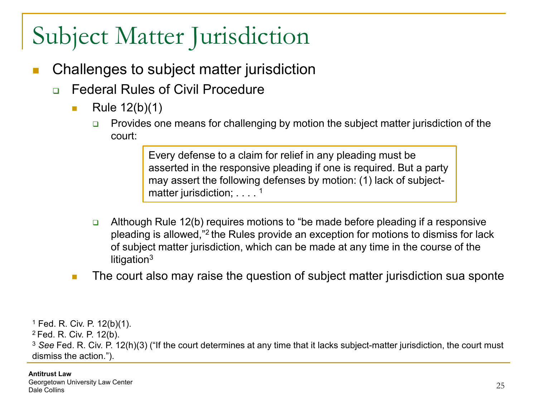- Challenges to subject matter jurisdiction
	- □ Federal Rules of Civil Procedure
		- Rule  $12(b)(1)$ 
			- Provides one means for challenging by motion the subject matter jurisdiction of the court:

Every defense to a claim for relief in any pleading must be asserted in the responsive pleading if one is required. But a party may assert the following defenses by motion: (1) lack of subjectmatter jurisdiction; . . . . <sup>1</sup>

- **Q** Although Rule 12(b) requires motions to "be made before pleading if a responsive pleading is allowed,"2 the Rules provide an exception for motions to dismiss for lack of subject matter jurisdiction, which can be made at any time in the course of the litigation<sup>3</sup>
- **The court also may raise the question of subject matter jurisdiction sua sponte**

<sup>1</sup> Fed. R. Civ. P. 12(b)(1). 2 Fed. R. Civ. P. 12(b). <sup>3</sup> *See* Fed. R. Civ. P. 12(h)(3) ("If the court determines at any time that it lacks subject-matter jurisdiction, the court must dismiss the action.").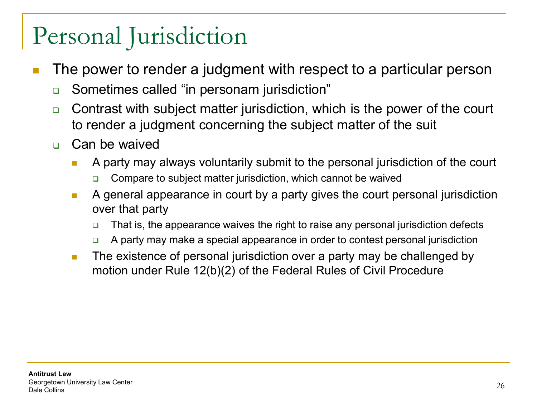- The power to render a judgment with respect to a particular person
	- **□** Sometimes called "in personam jurisdiction"
	- □ Contrast with subject matter jurisdiction, which is the power of the court to render a judgment concerning the subject matter of the suit
	- **n** Can be waived
		- A party may always voluntarily submit to the personal jurisdiction of the court
			- Compare to subject matter jurisdiction, which cannot be waived
		- **A** general appearance in court by a party gives the court personal jurisdiction over that party
			- $\Box$  That is, the appearance waives the right to raise any personal jurisdiction defects
			- A party may make a special appearance in order to contest personal jurisdiction
		- **The existence of personal jurisdiction over a party may be challenged by** motion under Rule 12(b)(2) of the Federal Rules of Civil Procedure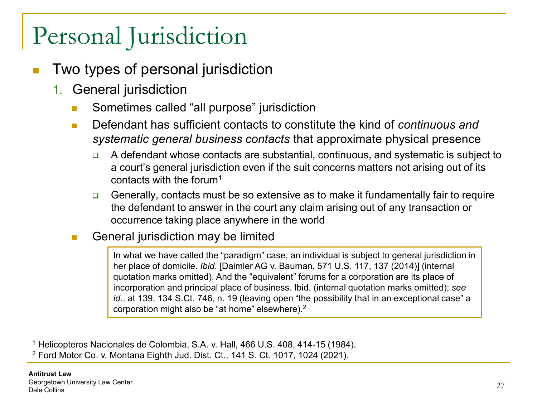- Two types of personal jurisdiction
	- 1. General jurisdiction
		- **Sometimes called "all purpose" jurisdiction**
		- Defendant has sufficient contacts to constitute the kind of *continuous and systematic general business contacts* that approximate physical presence
			- $\Box$  A defendant whose contacts are substantial, continuous, and systematic is subject to a court's general jurisdiction even if the suit concerns matters not arising out of its contacts with the forum1
			- Generally, contacts must be so extensive as to make it fundamentally fair to require the defendant to answer in the court any claim arising out of any transaction or occurrence taking place anywhere in the world
		- General jurisdiction may be limited

In what we have called the "paradigm" case, an individual is subject to general jurisdiction in her place of domicile. *Ibid*. [Daimler AG v. Bauman, 571 U.S. 117, 137 (2014)] (internal quotation marks omitted). And the "equivalent" forums for a corporation are its place of incorporation and principal place of business. Ibid. (internal quotation marks omitted); *see id*., at 139, 134 S.Ct. 746, n. 19 (leaving open "the possibility that in an exceptional case" a corporation might also be "at home" elsewhere).2

<sup>1</sup> Helicopteros Nacionales de Colombia, S.A. v. Hall, 466 U.S. 408, 414-15 (1984). <sup>2</sup> Ford Motor Co. v. Montana Eighth Jud. Dist. Ct., 141 S. Ct. 1017, 1024 (2021).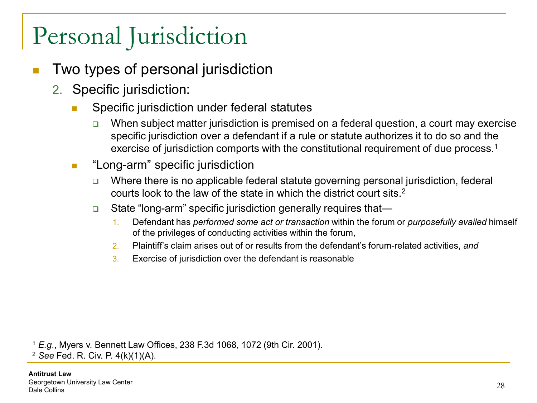- Two types of personal jurisdiction
	- 2. Specific jurisdiction:
		- **Specific jurisdiction under federal statutes** 
			- When subject matter jurisdiction is premised on a federal question, a court may exercise specific jurisdiction over a defendant if a rule or statute authorizes it to do so and the exercise of jurisdiction comports with the constitutional requirement of due process.<sup>1</sup>
		- **E** "Long-arm" specific jurisdiction
			- □ Where there is no applicable federal statute governing personal jurisdiction, federal courts look to the law of the state in which the district court sits.2
			- **□** State "long-arm" specific jurisdiction generally requires that—
				- 1. Defendant has *performed some act or transaction* within the forum or *purposefully availed* himself of the privileges of conducting activities within the forum,
				- 2. Plaintiff's claim arises out of or results from the defendant's forum-related activities, *and*
				- 3. Exercise of jurisdiction over the defendant is reasonable

<sup>1</sup> *E.g*., Myers v. Bennett Law Offices, 238 F.3d 1068, 1072 (9th Cir. 2001). <sup>2</sup> *See* Fed. R. Civ. P. 4(k)(1)(A).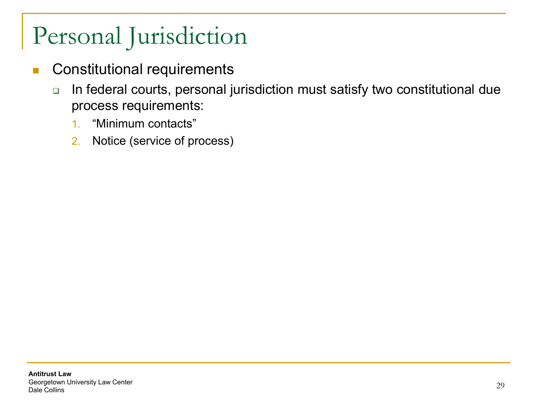- **Constitutional requirements** 
	- □ In federal courts, personal jurisdiction must satisfy two constitutional due process requirements:
		- 1. "Minimum contacts"
		- 2. Notice (service of process)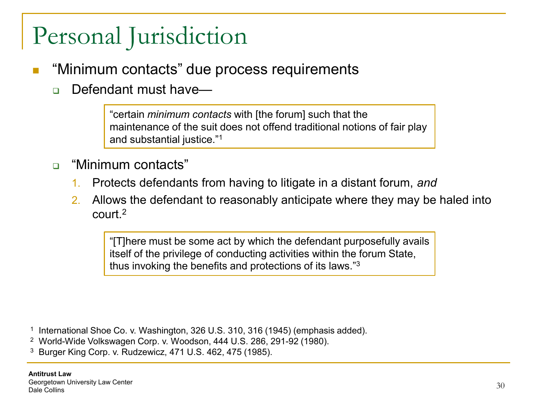- $\mathbb{R}^2$ "Minimum contacts" due process requirements
	- □ Defendant must have—

"certain *minimum contacts* with [the forum] such that the maintenance of the suit does not offend traditional notions of fair play and substantial justice."1

- □ "Minimum contacts"
	- 1. Protects defendants from having to litigate in a distant forum, *and*
	- 2. Allows the defendant to reasonably anticipate where they may be haled into court<sup>2</sup>

"[T]here must be some act by which the defendant purposefully avails itself of the privilege of conducting activities within the forum State, thus invoking the benefits and protections of its laws."3

<sup>1</sup> International Shoe Co. v. Washington, 326 U.S. 310, 316 (1945) (emphasis added).

- <sup>2</sup> World-Wide Volkswagen Corp. v. Woodson, 444 U.S. 286, 291-92 (1980).
- <sup>3</sup> Burger King Corp. v. Rudzewicz, 471 U.S. 462, 475 (1985).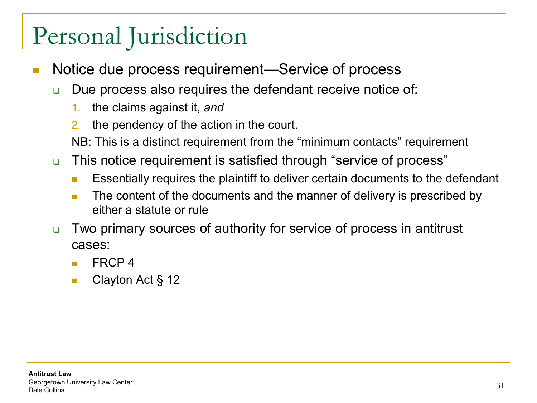- Notice due process requirement—Service of process
	- **□** Due process also requires the defendant receive notice of:
		- 1. the claims against it, *and*
		- 2. the pendency of the action in the court.
		- NB: This is a distinct requirement from the "minimum contacts" requirement
	- This notice requirement is satisfied through "service of process"
		- Essentially requires the plaintiff to deliver certain documents to the defendant
		- **The content of the documents and the manner of delivery is prescribed by** either a statute or rule
	- □ Two primary sources of authority for service of process in antitrust cases:
		- FRCP 4
		- Clayton Act § 12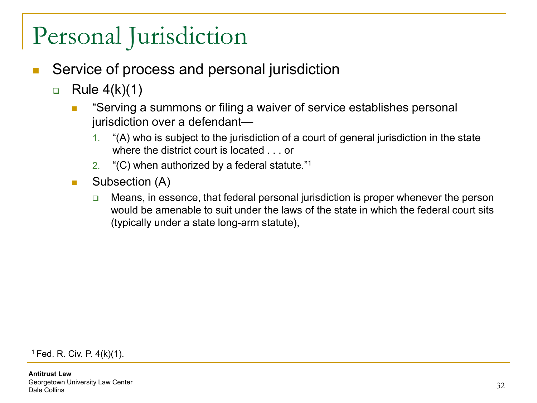- Service of process and personal jurisdiction
	- $\Box$  Rule 4(k)(1)
		- **EXTP:** "Serving a summons or filing a waiver of service establishes personal jurisdiction over a defendant—
			- 1. "(A) who is subject to the jurisdiction of a court of general jurisdiction in the state where the district court is located . . . or
			- 2. "(C) when authorized by a federal statute."1
		- Subsection (A)
			- $\Box$  Means, in essence, that federal personal jurisdiction is proper whenever the person would be amenable to suit under the laws of the state in which the federal court sits (typically under a state long-arm statute),

 $1$  Fed. R. Civ. P. 4(k)(1).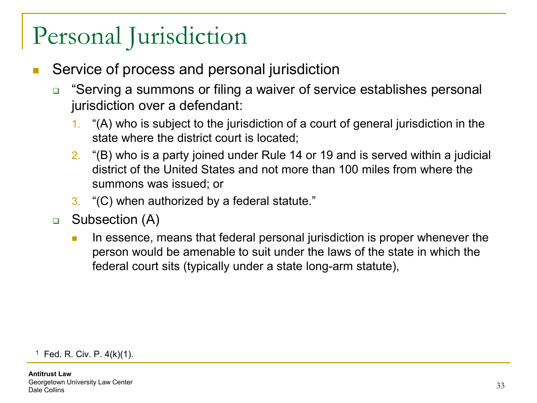- Service of process and personal jurisdiction
	- □ "Serving a summons or filing a waiver of service establishes personal jurisdiction over a defendant:
		- 1. "(A) who is subject to the jurisdiction of a court of general jurisdiction in the state where the district court is located;
		- 2. "(B) who is a party joined under Rule 14 or 19 and is served within a judicial district of the United States and not more than 100 miles from where the summons was issued; or
		- 3. "(C) when authorized by a federal statute."
	- □ Subsection (A)
		- In essence, means that federal personal jurisdiction is proper whenever the person would be amenable to suit under the laws of the state in which the federal court sits (typically under a state long-arm statute),

 $1$  Fed. R. Civ. P. 4(k)(1).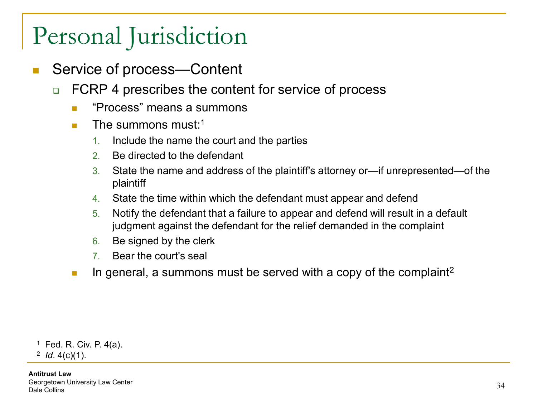- Service of process—Content
	- □ FCRP 4 prescribes the content for service of process
		- **E** "Process" means a summons
		- **The summons must**  $1$ 
			- 1. Include the name the court and the parties
			- 2. Be directed to the defendant
			- 3. State the name and address of the plaintiff's attorney or—if unrepresented—of the plaintiff
			- 4. State the time within which the defendant must appear and defend
			- 5. Notify the defendant that a failure to appear and defend will result in a default judgment against the defendant for the relief demanded in the complaint
			- 6. Be signed by the clerk
			- 7. Bear the court's seal
		- In general, a summons must be served with a copy of the complaint<sup>2</sup>

<sup>1</sup> Fed. R. Civ. P. 4(a).

<sup>2</sup> *Id*. 4(c)(1).

**Antitrust Law** Georgetown University Law Center Georgenown Onlyersity Law Center<br>Dale Collins 34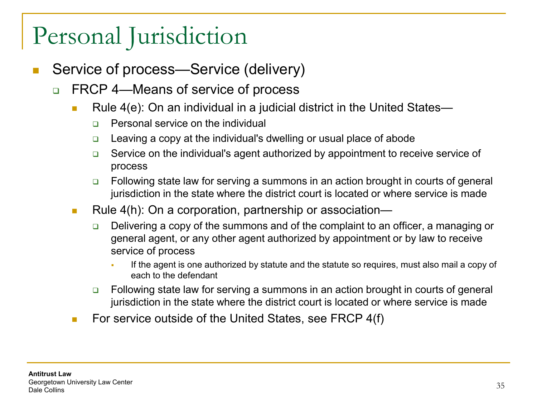- Service of process—Service (delivery)
	- □ FRCP 4—Means of service of process
		- Rule  $4(e)$ : On an individual in a judicial district in the United States—
			- □ Personal service on the individual
			- **□** Leaving a copy at the individual's dwelling or usual place of abode
			- **□** Service on the individual's agent authorized by appointment to receive service of process
			- Following state law for serving a summons in an action brought in courts of general jurisdiction in the state where the district court is located or where service is made
		- Rule 4(h): On a corporation, partnership or association—
			- $\Box$  Delivering a copy of the summons and of the complaint to an officer, a managing or general agent, or any other agent authorized by appointment or by law to receive service of process
				- If the agent is one authorized by statute and the statute so requires, must also mail a copy of each to the defendant
			- □ Following state law for serving a summons in an action brought in courts of general jurisdiction in the state where the district court is located or where service is made
		- For service outside of the United States, see FRCP  $4(f)$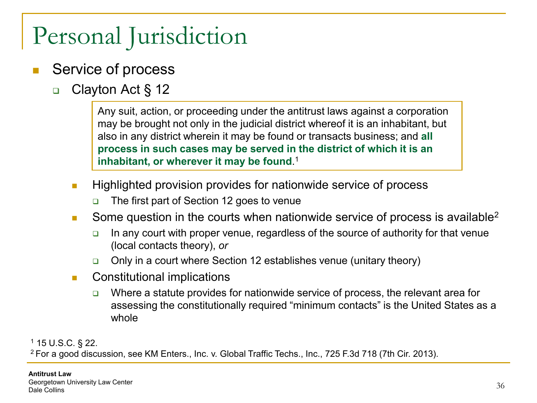- Service of process
	- □ Clayton Act § 12

Any suit, action, or proceeding under the antitrust laws against a corporation may be brought not only in the judicial district whereof it is an inhabitant, but also in any district wherein it may be found or transacts business; and **all process in such cases may be served in the district of which it is an inhabitant, or wherever it may be found**. 1

- **Highlighted provision provides for nationwide service of process** 
	- The first part of Section 12 goes to venue
- Some question in the courts when nationwide service of process is available<sup>2</sup>
	- $\Box$  In any court with proper venue, regardless of the source of authority for that venue (local contacts theory), *or*
	- Only in a court where Section 12 establishes venue (unitary theory)
- **Constitutional implications** 
	- $\Box$  Where a statute provides for nationwide service of process, the relevant area for assessing the constitutionally required "minimum contacts" is the United States as a whole

<sup>1</sup> 15 U.S.C. § 22.

2 For a good discussion, see KM Enters., Inc. v. Global Traffic Techs., Inc., 725 F.3d 718 (7th Cir. 2013).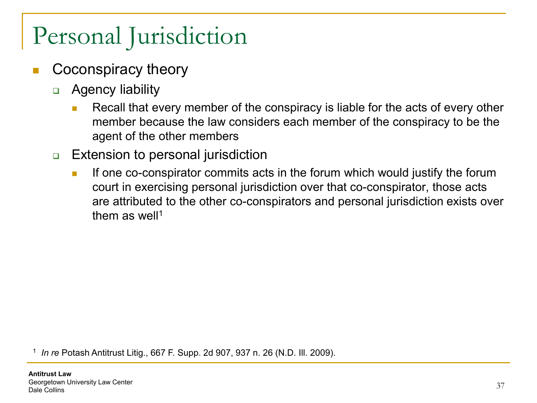## Personal Jurisdiction

- Coconspiracy theory
	- **D** Agency liability
		- Recall that every member of the conspiracy is liable for the acts of every other member because the law considers each member of the conspiracy to be the agent of the other members
	- **Extension to personal jurisdiction** 
		- If one co-conspirator commits acts in the forum which would justify the forum court in exercising personal jurisdiction over that co-conspirator, those acts are attributed to the other co-conspirators and personal jurisdiction exists over them as well<sup>1</sup>

<sup>1</sup> *In re* Potash Antitrust Litig., 667 F. Supp. 2d 907, 937 n. 26 (N.D. Ill. 2009).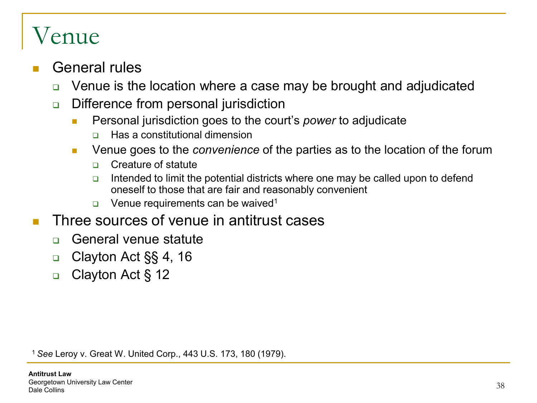#### General rules

- Venue is the location where a case may be brought and adjudicated
- □ Difference from personal jurisdiction
	- **Personal jurisdiction goes to the court's** *power* **to adjudicate** 
		- □ Has a constitutional dimension
	- **EXTERGHEE 1998 Venue goes to the** *convenience* of the parties as to the location of the forum
		- **D** Creature of statute
		- Intended to limit the potential districts where one may be called upon to defend oneself to those that are fair and reasonably convenient
		- **u** Venue requirements can be waived<sup>1</sup>
- Three sources of venue in antitrust cases
	- □ General venue statute
	- □ Clayton Act  $\S$ § 4, 16
	- □ Clayton Act § 12

<sup>1</sup>*See* Leroy v. Great W. United Corp., 443 U.S. 173, 180 (1979).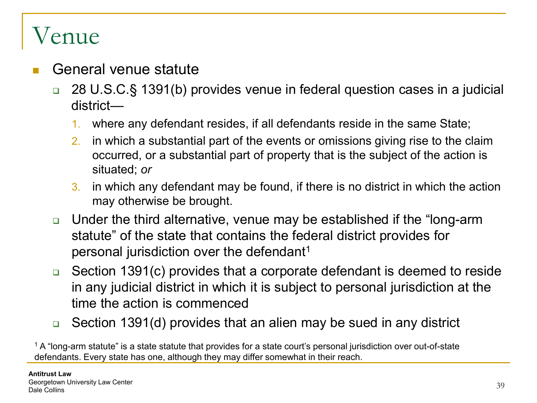- General venue statute
	- 28 U.S.C.§ 1391(b) provides venue in federal question cases in a judicial district—
		- 1. where any defendant resides, if all defendants reside in the same State;
		- 2. in which a substantial part of the events or omissions giving rise to the claim occurred, or a substantial part of property that is the subject of the action is situated; *or*
		- 3. in which any defendant may be found, if there is no district in which the action may otherwise be brought.
	- Under the third alternative, venue may be established if the "long-arm statute" of the state that contains the federal district provides for personal jurisdiction over the defendant1
	- Section 1391(c) provides that a corporate defendant is deemed to reside in any judicial district in which it is subject to personal jurisdiction at the time the action is commenced
	- **□** Section 1391(d) provides that an alien may be sued in any district

<sup>1</sup> A "long-arm statute" is a state statute that provides for a state court's personal jurisdiction over out-of-state defendants. Every state has one, although they may differ somewhat in their reach.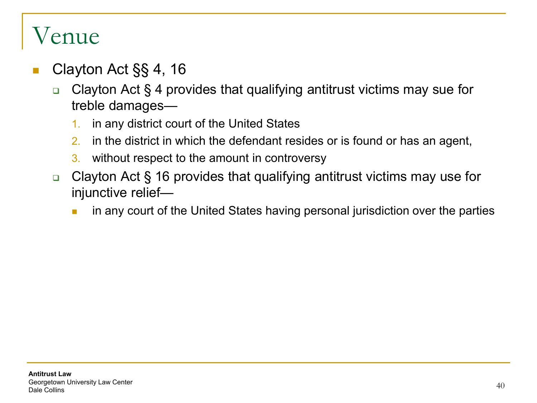- Clayton Act §§ 4, 16
	- Clayton Act § 4 provides that qualifying antitrust victims may sue for treble damages—
		- 1. in any district court of the United States
		- 2. in the district in which the defendant resides or is found or has an agent,
		- 3. without respect to the amount in controversy
	- Clayton Act § 16 provides that qualifying antitrust victims may use for injunctive relief
		- **number** in any court of the United States having personal jurisdiction over the parties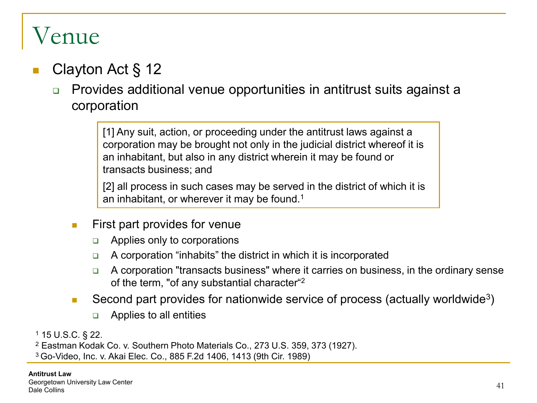#### Clayton Act § 12

□ Provides additional venue opportunities in antitrust suits against a corporation

> [1] Any suit, action, or proceeding under the antitrust laws against a corporation may be brought not only in the judicial district whereof it is an inhabitant, but also in any district wherein it may be found or transacts business; and

> [2] all process in such cases may be served in the district of which it is an inhabitant, or wherever it may be found.<sup>1</sup>

- $\blacksquare$  First part provides for venue
	- $\Box$  Applies only to corporations
	- $\Box$  A corporation "inhabits" the district in which it is incorporated
	- $\Box$  A corporation "transacts business" where it carries on business, in the ordinary sense of the term, "of any substantial character"2
- Second part provides for nationwide service of process (actually worldwide<sup>3</sup>)
	- $\Box$  Applies to all entities

<sup>1</sup> 15 U.S.C. § 22.

<sup>2</sup> Eastman Kodak Co. v. Southern Photo Materials Co., 273 U.S. 359, 373 (1927).

3 Go-Video, Inc. v. Akai Elec. Co., 885 F.2d 1406, 1413 (9th Cir. 1989)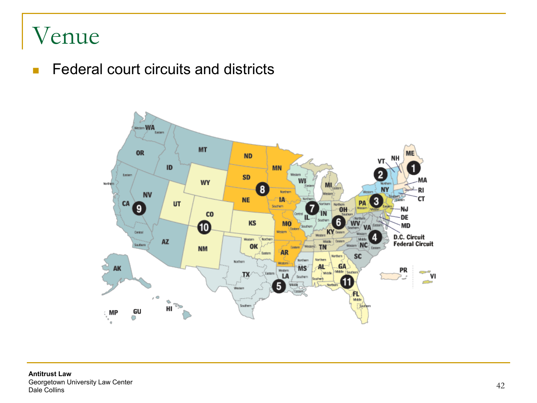#### Venue

**Federal court circuits and districts** 

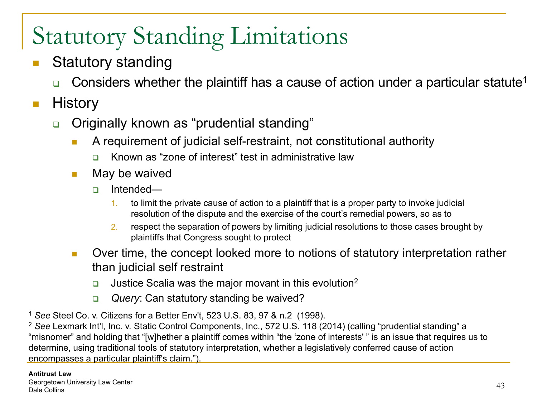- Statutory standing
	- **Considers whether the plaintiff has a cause of action under a particular statute**<sup>1</sup>

#### $\blacksquare$  History

- Originally known as "prudential standing"
	- **A** requirement of judicial self-restraint, not constitutional authority
		- Known as "zone of interest" test in administrative law
	- $\blacksquare$  May be waived
		- □ Intended—
			- 1. to limit the private cause of action to a plaintiff that is a proper party to invoke judicial resolution of the dispute and the exercise of the court's remedial powers, so as to
			- 2. respect the separation of powers by limiting judicial resolutions to those cases brought by plaintiffs that Congress sought to protect
	- **D** Over time, the concept looked more to notions of statutory interpretation rather than judicial self restraint
		- Justice Scalia was the major movant in this evolution2
		- *Query*: Can statutory standing be waived?
- <sup>1</sup> *See* Steel Co. v. Citizens for a Better Env't, 523 U.S. 83, 97 & n.2 (1998).

<sup>2</sup> *See* Lexmark Int'l, Inc. v. Static Control Components, Inc., 572 U.S. 118 (2014) (calling "prudential standing" a "misnomer" and holding that "[w]hether a plaintiff comes within "the 'zone of interests' " is an issue that requires us to determine, using traditional tools of statutory interpretation, whether a legislatively conferred cause of action encompasses a particular plaintiff's claim.").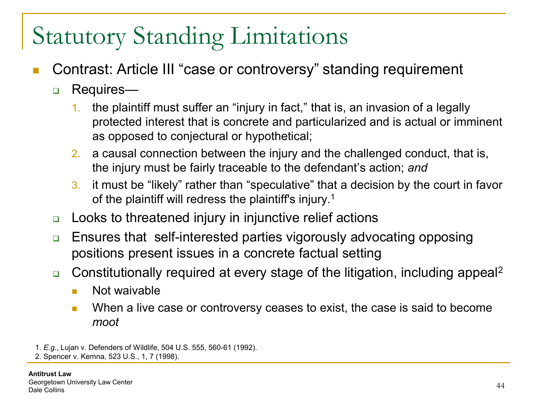- Contrast: Article III "case or controversy" standing requirement
	- □ Requires—
		- 1. the plaintiff must suffer an "injury in fact," that is, an invasion of a legally protected interest that is concrete and particularized and is actual or imminent as opposed to conjectural or hypothetical;
		- 2. a causal connection between the injury and the challenged conduct, that is, the injury must be fairly traceable to the defendant's action; *and*
		- 3. it must be "likely" rather than "speculative" that a decision by the court in favor of the plaintiff will redress the plaintiff's injury.1
	- **□** Looks to threatened injury in injunctive relief actions
	- □ Ensures that self-interested parties vigorously advocating opposing positions present issues in a concrete factual setting
	- **□** Constitutionally required at every stage of the litigation, including appeal<sup>2</sup>
		- **Not waivable**
		- **Notally 1.5 Step 3.5 Step 3.5 Step 3.6 Step 3.6 Step 3.6 Step 3.6 Step 3.6 Step 3.6 Step 3.6 Step 3.6 Step 3.6 Step 3.6 Step 3.6 Step 3.6 Step 3.6 Step 3.6 Step 3.6 Step 3.6 Step 3.6 Step 3.6 Step 3.6 Step 3.6 Step 3.6 St** *moot*

<sup>1.</sup> *E.g.*, Lujan v. Defenders of Wildlife, 504 U.S. 555, 560-61 (1992).

<sup>2.</sup> Spencer v. Kemna, 523 U.S., 1, 7 (1998).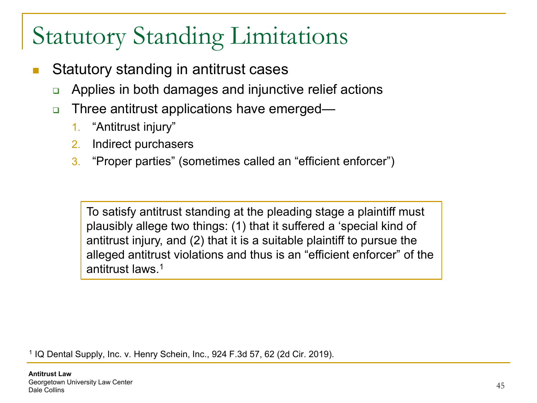- Statutory standing in antitrust cases
	- Applies in both damages and injunctive relief actions
	- **□** Three antitrust applications have emerged—
		- 1. "Antitrust injury"
		- 2. Indirect purchasers
		- 3. "Proper parties" (sometimes called an "efficient enforcer")

To satisfy antitrust standing at the pleading stage a plaintiff must plausibly allege two things: (1) that it suffered a 'special kind of antitrust injury, and (2) that it is a suitable plaintiff to pursue the alleged antitrust violations and thus is an "efficient enforcer" of the antitrust laws<sup>1</sup>

<sup>1</sup> IQ Dental Supply, Inc. v. Henry Schein, Inc., 924 F.3d 57, 62 (2d Cir. 2019).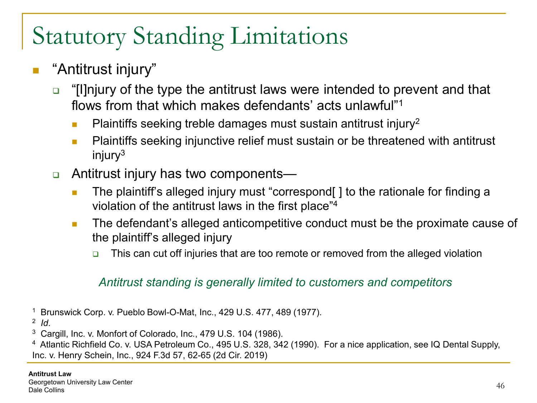#### "Antitrust injury"

- □ "Illnjury of the type the antitrust laws were intended to prevent and that flows from that which makes defendants' acts unlawful"1
	- **Plaintiffs seeking treble damages must sustain antitrust injury**<sup>2</sup>
	- **Plaintiffs seeking injunctive relief must sustain or be threatened with antitrust**  $injury<sup>3</sup>$
- □ Antitrust injury has two components—
	- **The plaintiff's alleged injury must "correspond** [] to the rationale for finding a violation of the antitrust laws in the first place"4
	- **The defendant's alleged anticompetitive conduct must be the proximate cause of** the plaintiff's alleged injury
		- This can cut off injuries that are too remote or removed from the alleged violation

#### *Antitrust standing is generally limited to customers and competitors*

- <sup>1</sup> Brunswick Corp. v. Pueblo Bowl-O-Mat, Inc., 429 U.S. 477, 489 (1977).
- <sup>2</sup> *Id*.
- <sup>3</sup> Cargill, Inc. v. Monfort of Colorado, Inc., 479 U.S. 104 (1986).

<sup>4</sup> Atlantic Richfield Co. v. USA Petroleum Co., 495 U.S. 328, 342 (1990). For a nice application, see IQ Dental Supply, Inc. v. Henry Schein, Inc., 924 F.3d 57, 62-65 (2d Cir. 2019)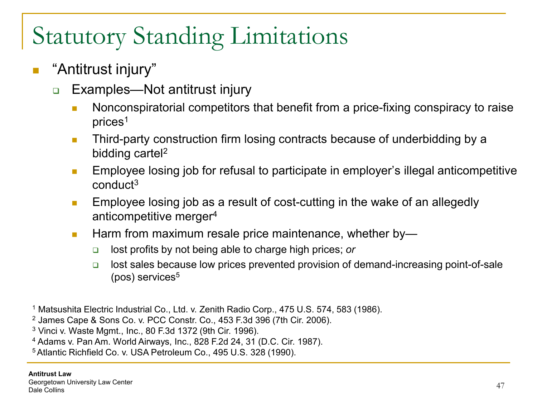- $\mathbb{R}^2$ "Antitrust injury"
	- Examples—Not antitrust injury
		- Nonconspiratorial competitors that benefit from a price-fixing conspiracy to raise prices1
		- **Third-party construction firm losing contracts because of underbidding by a** bidding cartel2
		- **Employee losing job for refusal to participate in employer's illegal anticompetitive** conduct3
		- **Employee losing job as a result of cost-cutting in the wake of an allegedly** anticompetitive merger4
		- **Harm from maximum resale price maintenance, whether by** 
			- lost profits by not being able to charge high prices; *or*
			- $\Box$  lost sales because low prices prevented provision of demand-increasing point-of-sale  $(pos)$  services<sup>5</sup>
- <sup>1</sup> Matsushita Electric Industrial Co., Ltd. v. Zenith Radio Corp., 475 U.S. 574, 583 (1986).
- <sup>2</sup> James Cape & Sons Co. v. PCC Constr. Co., 453 F.3d 396 (7th Cir. 2006).

<sup>3</sup> Vinci v. Waste Mgmt., Inc., 80 F.3d 1372 (9th Cir. 1996).

<sup>4</sup> Adams v. Pan Am. World Airways, Inc., 828 F.2d 24, 31 (D.C. Cir. 1987).

5 Atlantic Richfield Co. v. USA Petroleum Co., 495 U.S. 328 (1990).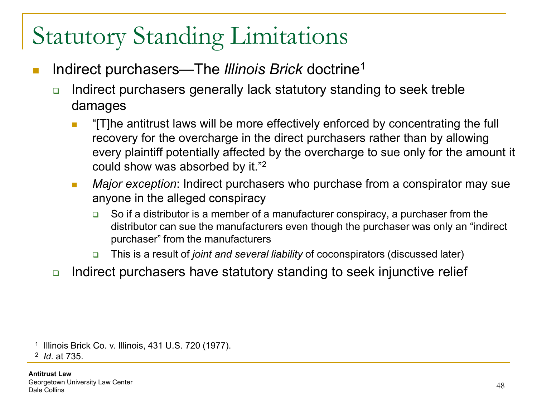- Indirect purchasers—The *Illinois Brick* doctrine1
	- $\Box$  Indirect purchasers generally lack statutory standing to seek treble damages
		- **T** "[T]he antitrust laws will be more effectively enforced by concentrating the full recovery for the overcharge in the direct purchasers rather than by allowing every plaintiff potentially affected by the overcharge to sue only for the amount it could show was absorbed by it."2
		- *Major exception*: Indirect purchasers who purchase from a conspirator may sue anyone in the alleged conspiracy
			- $\Box$  So if a distributor is a member of a manufacturer conspiracy, a purchaser from the distributor can sue the manufacturers even though the purchaser was only an "indirect purchaser" from the manufacturers
			- This is a result of *joint and several liability* of coconspirators (discussed later)
	- **□** Indirect purchasers have statutory standing to seek injunctive relief

<sup>1</sup> Illinois Brick Co. v. Illinois, 431 U.S. 720 (1977).

<sup>2</sup> *Id*. at 735.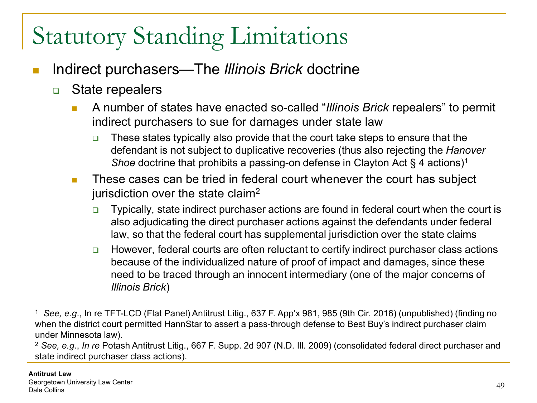- Indirect purchasers—The *Illinois Brick* doctrine
	- **□** State repealers
		- A number of states have enacted so-called "*Illinois Brick* repealers" to permit indirect purchasers to sue for damages under state law
			- $\Box$  These states typically also provide that the court take steps to ensure that the defendant is not subject to duplicative recoveries (thus also rejecting the *Hanover Shoe* doctrine that prohibits a passing-on defense in Clayton Act § 4 actions)<sup>1</sup>
		- **These cases can be tried in federal court whenever the court has subject** jurisdiction over the state claim2
			- Typically, state indirect purchaser actions are found in federal court when the court is also adjudicating the direct purchaser actions against the defendants under federal law, so that the federal court has supplemental jurisdiction over the state claims
			- □ However, federal courts are often reluctant to certify indirect purchaser class actions because of the individualized nature of proof of impact and damages, since these need to be traced through an innocent intermediary (one of the major concerns of *Illinois Brick*)

<sup>1</sup> *See, e.g*., In re TFT-LCD (Flat Panel) Antitrust Litig., 637 F. App'x 981, 985 (9th Cir. 2016) (unpublished) (finding no when the district court permitted HannStar to assert a pass-through defense to Best Buy's indirect purchaser claim under Minnesota law).

<sup>2</sup> *See, e.g.*, *In re* Potash Antitrust Litig., 667 F. Supp. 2d 907 (N.D. Ill. 2009) (consolidated federal direct purchaser and state indirect purchaser class actions).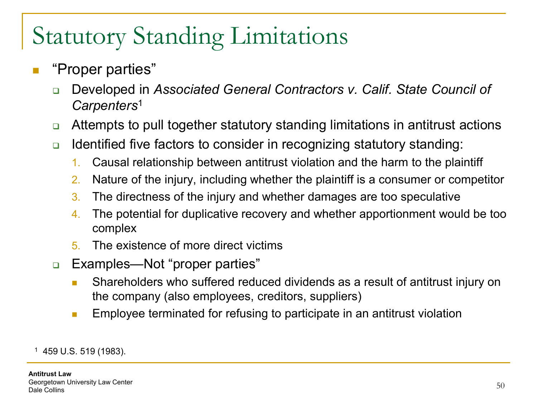- "Proper parties"
	- Developed in *Associated General Contractors v. Calif. State Council of Carpenters*<sup>1</sup>
	- □ Attempts to pull together statutory standing limitations in antitrust actions
	- **■** Identified five factors to consider in recognizing statutory standing:
		- 1. Causal relationship between antitrust violation and the harm to the plaintiff
		- 2. Nature of the injury, including whether the plaintiff is a consumer or competitor
		- 3. The directness of the injury and whether damages are too speculative
		- 4. The potential for duplicative recovery and whether apportionment would be too complex
		- 5. The existence of more direct victims
	- Examples—Not "proper parties"
		- **Shareholders who suffered reduced dividends as a result of antitrust injury on** the company (also employees, creditors, suppliers)
		- **Employee terminated for refusing to participate in an antitrust violation**

<sup>1</sup> 459 U.S. 519 (1983).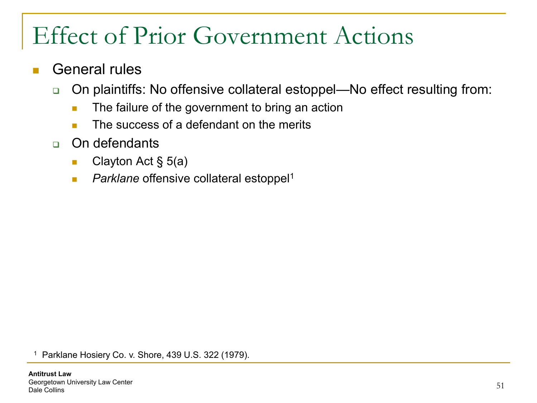#### General rules

- □ On plaintiffs: No offensive collateral estoppel—No effect resulting from:
	- **The failure of the government to bring an action**
	- **The success of a defendant on the merits**
- On defendants
	- Clayton Act  $\S$  5(a)
	- **Parklane offensive collateral estoppel<sup>1</sup>**

<sup>1</sup> Parklane Hosiery Co. v. Shore, 439 U.S. 322 (1979).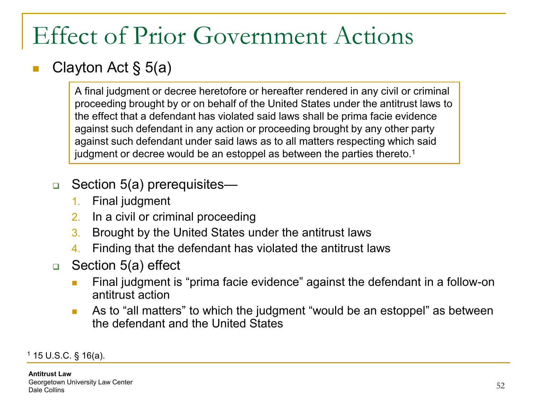#### Clayton Act § 5(a)

A final judgment or decree heretofore or hereafter rendered in any civil or criminal proceeding brought by or on behalf of the United States under the antitrust laws to the effect that a defendant has violated said laws shall be prima facie evidence against such defendant in any action or proceeding brought by any other party against such defendant under said laws as to all matters respecting which said judgment or decree would be an estoppel as between the parties thereto.<sup>1</sup>

#### **□** Section 5(a) prerequisites—

- 1. Final judgment
- 2. In a civil or criminal proceeding
- 3. Brought by the United States under the antitrust laws
- 4. Finding that the defendant has violated the antitrust laws
- □ Section 5(a) effect
	- **Final judgment is "prima facie evidence" against the defendant in a follow-on** antitrust action
	- **As to "all matters" to which the judgment "would be an estoppel" as between** the defendant and the United States

 $1$  15 U.S.C. § 16(a).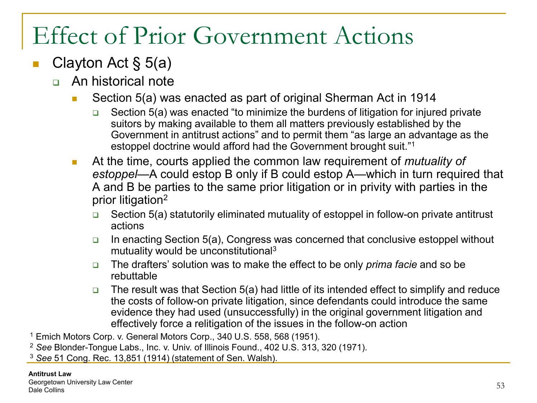#### Clayton Act § 5(a)

- An historical note
	- Section 5(a) was enacted as part of original Sherman Act in 1914
		- $\Box$  Section 5(a) was enacted "to minimize the burdens of litigation for injured private suitors by making available to them all matters previously established by the Government in antitrust actions" and to permit them "as large an advantage as the estoppel doctrine would afford had the Government brought suit."1
	- At the time, courts applied the common law requirement of *mutuality of estoppel*—A could estop B only if B could estop A—which in turn required that A and B be parties to the same prior litigation or in privity with parties in the prior litigation2
		- $\Box$  Section 5(a) statutorily eliminated mutuality of estoppel in follow-on private antitrust actions
		- $\Box$  In enacting Section 5(a), Congress was concerned that conclusive estoppel without mutuality would be unconstitutional3
		- The drafters' solution was to make the effect to be only *prima facie* and so be rebuttable
		- The result was that Section 5(a) had little of its intended effect to simplify and reduce the costs of follow-on private litigation, since defendants could introduce the same evidence they had used (unsuccessfully) in the original government litigation and effectively force a relitigation of the issues in the follow-on action
- <sup>1</sup> Emich Motors Corp. v. General Motors Corp., 340 U.S. 558, 568 (1951).
- <sup>2</sup> *See* Blonder-Tongue Labs., Inc. v. Univ. of Illinois Found., 402 U.S. 313, 320 (1971).
- <sup>3</sup> *See* 51 Cong. Rec. 13,851 (1914) (statement of Sen. Walsh).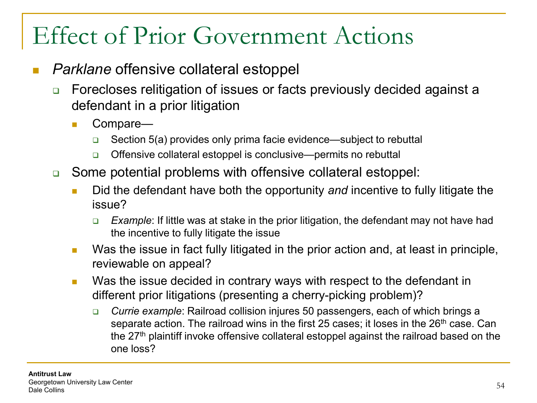- *Parklane* offensive collateral estoppel
	- **□** Forecloses relitigation of issues or facts previously decided against a defendant in a prior litigation
		- Compare—
			- **□** Section 5(a) provides only prima facie evidence—subject to rebuttal
			- **□** Offensive collateral estoppel is conclusive—permits no rebuttal
	- Some potential problems with offensive collateral estoppel:
		- **Did the defendant have both the opportunity and incentive to fully litigate the** issue?
			- *Example*: If little was at stake in the prior litigation, the defendant may not have had the incentive to fully litigate the issue
		- **Nas the issue in fact fully litigated in the prior action and, at least in principle,** reviewable on appeal?
		- **Notai** Was the issue decided in contrary ways with respect to the defendant in different prior litigations (presenting a cherry-picking problem)?
			- *Currie example*: Railroad collision injures 50 passengers, each of which brings a separate action. The railroad wins in the first 25 cases; it loses in the 26<sup>th</sup> case. Can the 27<sup>th</sup> plaintiff invoke offensive collateral estoppel against the railroad based on the one loss?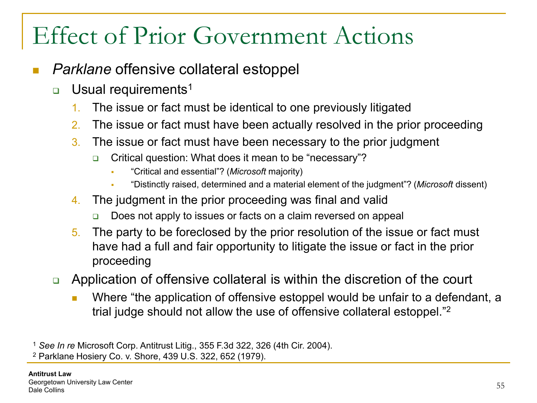- *Parklane* offensive collateral estoppel
	- **u** Usual requirements<sup>1</sup>
		- 1. The issue or fact must be identical to one previously litigated
		- 2. The issue or fact must have been actually resolved in the prior proceeding
		- 3. The issue or fact must have been necessary to the prior judgment
			- **□** Critical question: What does it mean to be "necessary"?
				- "Critical and essential"? (*Microsoft* majority)
				- "Distinctly raised, determined and a material element of the judgment"? (*Microsoft* dissent)
		- 4. The judgment in the prior proceeding was final and valid
			- Does not apply to issues or facts on a claim reversed on appeal
		- 5. The party to be foreclosed by the prior resolution of the issue or fact must have had a full and fair opportunity to litigate the issue or fact in the prior proceeding
	- Application of offensive collateral is within the discretion of the court
		- **Number** Where "the application of offensive estoppel would be unfair to a defendant, a trial judge should not allow the use of offensive collateral estoppel."2

<sup>1</sup> *See In re* Microsoft Corp. Antitrust Litig., 355 F.3d 322, 326 (4th Cir. 2004).

<sup>2</sup> Parklane Hosiery Co. v. Shore, 439 U.S. 322, 652 (1979).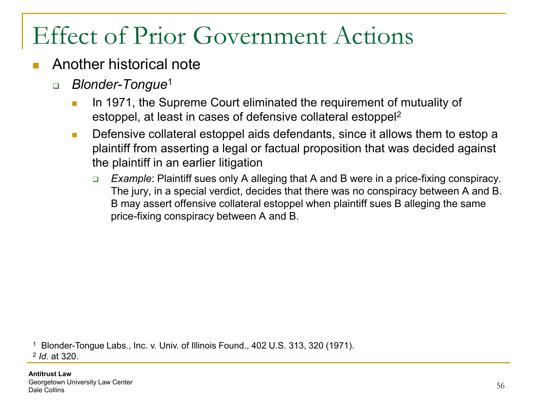- Another historical note
	- *Blonder-Tongue*<sup>1</sup>
		- In 1971, the Supreme Court eliminated the requirement of mutuality of estoppel, at least in cases of defensive collateral estoppel2
		- **Defensive collateral estoppel aids defendants, since it allows them to estop a** plaintiff from asserting a legal or factual proposition that was decided against the plaintiff in an earlier litigation
			- *Example*: Plaintiff sues only A alleging that A and B were in a price-fixing conspiracy. The jury, in a special verdict, decides that there was no conspiracy between A and B. B may assert offensive collateral estoppel when plaintiff sues B alleging the same price-fixing conspiracy between A and B.

<sup>1</sup> Blonder-Tongue Labs., Inc. v. Univ. of Illinois Found., 402 U.S. 313, 320 (1971).

<sup>2</sup> *Id*. at 320.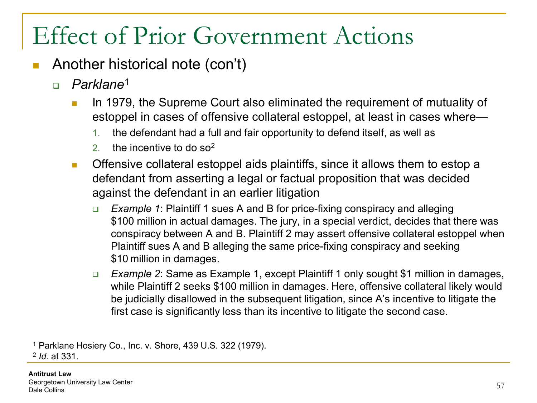- Another historical note (con't)
	- *Parklane*<sup>1</sup>
		- In 1979, the Supreme Court also eliminated the requirement of mutuality of estoppel in cases of offensive collateral estoppel, at least in cases where—
			- 1. the defendant had a full and fair opportunity to defend itself, as well as
			- 2. the incentive to do  $\text{so}^2$
		- **C** Offensive collateral estoppel aids plaintiffs, since it allows them to estop a defendant from asserting a legal or factual proposition that was decided against the defendant in an earlier litigation
			- *Example 1*: Plaintiff 1 sues A and B for price-fixing conspiracy and alleging \$100 million in actual damages. The jury, in a special verdict, decides that there was conspiracy between A and B. Plaintiff 2 may assert offensive collateral estoppel when Plaintiff sues A and B alleging the same price-fixing conspiracy and seeking \$10 million in damages.
			- *Example 2*: Same as Example 1, except Plaintiff 1 only sought \$1 million in damages, while Plaintiff 2 seeks \$100 million in damages. Here, offensive collateral likely would be judicially disallowed in the subsequent litigation, since A's incentive to litigate the first case is significantly less than its incentive to litigate the second case.

<sup>1</sup> Parklane Hosiery Co., Inc. v. Shore, 439 U.S. 322 (1979).

<sup>2</sup> *Id*. at 331.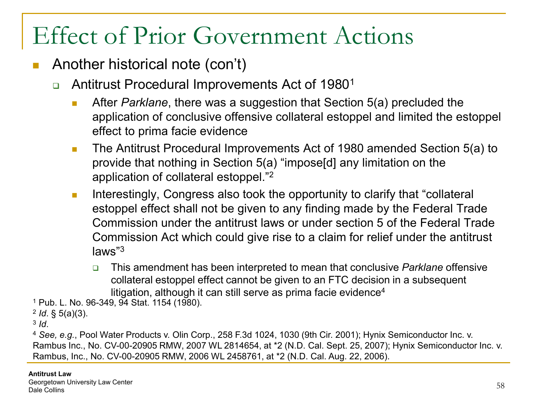- Another historical note (con't)
	- **□** Antitrust Procedural Improvements Act of 1980<sup>1</sup>
		- **After** *Parklane*, there was a suggestion that Section 5(a) precluded the application of conclusive offensive collateral estoppel and limited the estoppel effect to prima facie evidence
		- **The Antitrust Procedural Improvements Act of 1980 amended Section 5(a) to** provide that nothing in Section 5(a) "impose[d] any limitation on the application of collateral estoppel."2
		- **Interestingly, Congress also took the opportunity to clarify that "collateral"** estoppel effect shall not be given to any finding made by the Federal Trade Commission under the antitrust laws or under section 5 of the Federal Trade Commission Act which could give rise to a claim for relief under the antitrust laws"3
			- This amendment has been interpreted to mean that conclusive *Parklane* offensive collateral estoppel effect cannot be given to an FTC decision in a subsequent litigation, although it can still serve as prima facie evidence<sup>4</sup>

<sup>1</sup> Pub. L. No. 96-349, 94 Stat. 1154 (1980).

<sup>2</sup> *Id*. § 5(a)(3).

<sup>3</sup> *Id*.

<sup>4</sup> *See, e.g.*, Pool Water Products v. Olin Corp., 258 F.3d 1024, 1030 (9th Cir. 2001); Hynix Semiconductor Inc. v. Rambus Inc., No. CV-00-20905 RMW, 2007 WL 2814654, at \*2 (N.D. Cal. Sept. 25, 2007); Hynix Semiconductor Inc. v. Rambus, Inc., No. CV-00-20905 RMW, 2006 WL 2458761, at \*2 (N.D. Cal. Aug. 22, 2006).

#### **Antitrust Law**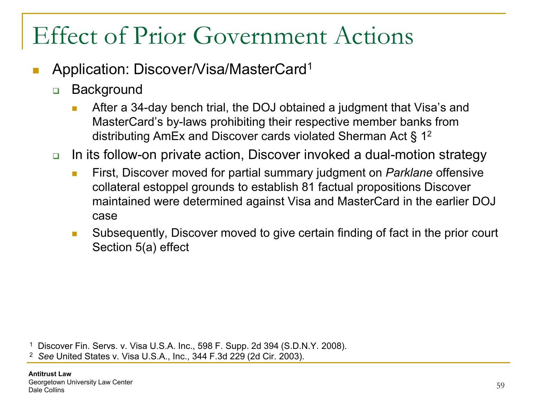- Application: Discover/Visa/MasterCard1
	- □ Background
		- After a 34-day bench trial, the DOJ obtained a judgment that Visa's and MasterCard's by-laws prohibiting their respective member banks from distributing AmEx and Discover cards violated Sherman Act § 12
	- **□** In its follow-on private action, Discover invoked a dual-motion strategy
		- **First, Discover moved for partial summary judgment on** *Parklane* **offensive** collateral estoppel grounds to establish 81 factual propositions Discover maintained were determined against Visa and MasterCard in the earlier DOJ case
		- **Subsequently, Discover moved to give certain finding of fact in the prior court** Section 5(a) effect

<sup>1</sup> Discover Fin. Servs. v. Visa U.S.A. Inc., 598 F. Supp. 2d 394 (S.D.N.Y. 2008).

<sup>2</sup> *See* United States v. Visa U.S.A., Inc., 344 F.3d 229 (2d Cir. 2003).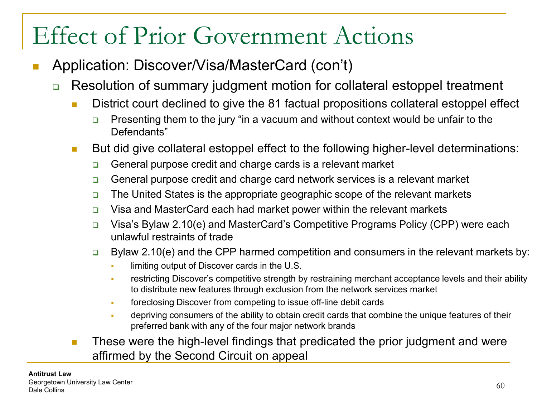- Application: Discover/Visa/MasterCard (con't)
	- **□** Resolution of summary judgment motion for collateral estoppel treatment
		- **District court declined to give the 81 factual propositions collateral estoppel effect** 
			- Presenting them to the jury "in a vacuum and without context would be unfair to the Defendants"
		- But did give collateral estoppel effect to the following higher-level determinations:
			- **□** General purpose credit and charge cards is a relevant market
			- □ General purpose credit and charge card network services is a relevant market
			- $\Box$  The United States is the appropriate geographic scope of the relevant markets
			- $\Box$  Visa and MasterCard each had market power within the relevant markets
			- □ Visa's Bylaw 2.10(e) and MasterCard's Competitive Programs Policy (CPP) were each unlawful restraints of trade
			- $\Box$  Bylaw 2.10(e) and the CPP harmed competition and consumers in the relevant markets by:
				- **I** limiting output of Discover cards in the U.S.
				- restricting Discover's competitive strength by restraining merchant acceptance levels and their ability to distribute new features through exclusion from the network services market
				- foreclosing Discover from competing to issue off-line debit cards
				- depriving consumers of the ability to obtain credit cards that combine the unique features of their preferred bank with any of the four major network brands
		- **These were the high-level findings that predicated the prior judgment and were** affirmed by the Second Circuit on appeal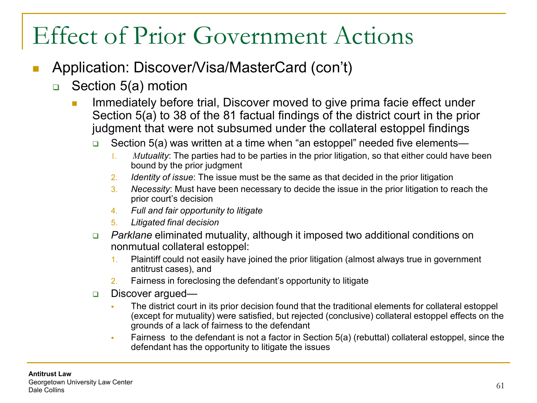- Application: Discover/Visa/MasterCard (con't)
	- □ Section 5(a) motion
		- Immediately before trial, Discover moved to give prima facie effect under Section 5(a) to 38 of the 81 factual findings of the district court in the prior judgment that were not subsumed under the collateral estoppel findings
			- **B** Section 5(a) was written at a time when "an estoppel" needed five elements—
				- 1. *Mutuality*: The parties had to be parties in the prior litigation, so that either could have been bound by the prior judgment
				- 2. *Identity of issue*: The issue must be the same as that decided in the prior litigation
				- 3. *Necessity*: Must have been necessary to decide the issue in the prior litigation to reach the prior court's decision
				- 4. *Full and fair opportunity to litigate*
				- 5. *Litigated final decision*
			- *Parklane* eliminated mutuality, although it imposed two additional conditions on nonmutual collateral estoppel:
				- 1. Plaintiff could not easily have joined the prior litigation (almost always true in government antitrust cases), and
				- 2. Fairness in foreclosing the defendant's opportunity to litigate
			- Discover argued—
				- The district court in its prior decision found that the traditional elements for collateral estoppel (except for mutuality) were satisfied, but rejected (conclusive) collateral estoppel effects on the grounds of a lack of fairness to the defendant
				- Fairness to the defendant is not a factor in Section 5(a) (rebuttal) collateral estoppel, since the defendant has the opportunity to litigate the issues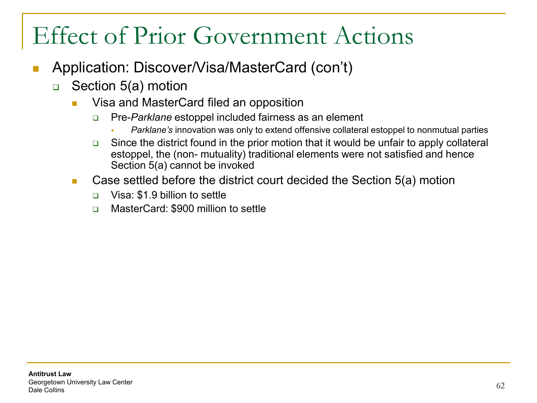- Application: Discover/Visa/MasterCard (con't)
	- □ Section 5(a) motion
		- **No. 25 Visa and MasterCard filed an opposition** 
			- **Pre-***Parklane* estoppel included fairness as an element
				- *Parklane's* innovation was only to extend offensive collateral estoppel to nonmutual parties
			- Since the district found in the prior motion that it would be unfair to apply collateral estoppel, the (non- mutuality) traditional elements were not satisfied and hence Section 5(a) cannot be invoked
		- Case settled before the district court decided the Section 5(a) motion
			- □ Visa: \$1.9 billion to settle
			- □ MasterCard: \$900 million to settle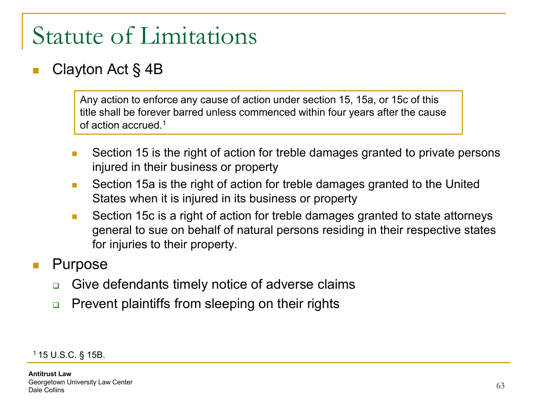#### Clayton Act § 4B

Any action to enforce any cause of action under section 15, 15a, or 15c of this title shall be forever barred unless commenced within four years after the cause of action accrued.1

- Section 15 is the right of action for treble damages granted to private persons injured in their business or property
- Section 15a is the right of action for treble damages granted to the United States when it is injured in its business or property
- Section 15c is a right of action for treble damages granted to state attorneys general to sue on behalf of natural persons residing in their respective states for injuries to their property.

#### Purpose

- Give defendants timely notice of adverse claims
- □ Prevent plaintiffs from sleeping on their rights

1 15 U.S.C. § 15B.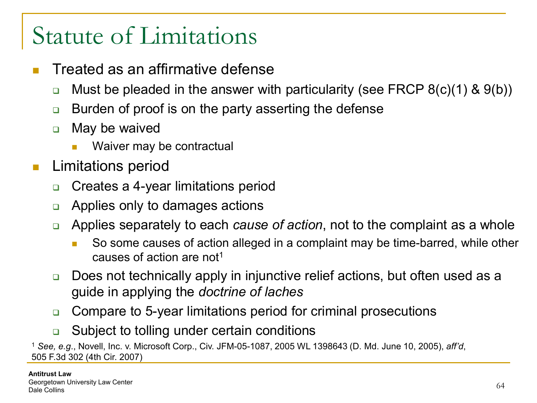- Treated as an affirmative defense
	- $\Box$  Must be pleaded in the answer with particularity (see FRCP 8(c)(1) & 9(b))
	- **Burden of proof is on the party asserting the defense**
	- **D** May be waived
		- Waiver may be contractual
- **Limitations period** 
	- **□** Creates a 4-year limitations period
	- □ Applies only to damages actions
	- Applies separately to each *cause of action*, not to the complaint as a whole
		- So some causes of action alleged in a complaint may be time-barred, while other causes of action are not1
	- □ Does not technically apply in injunctive relief actions, but often used as a guide in applying the *doctrine of laches*
	- Compare to 5-year limitations period for criminal prosecutions
	- **□** Subject to tolling under certain conditions

<sup>1</sup> *See, e.g*., Novell, Inc. v. Microsoft Corp., Civ. JFM-05-1087, 2005 WL 1398643 (D. Md. June 10, 2005), *aff'd*, 505 F.3d 302 (4th Cir. 2007)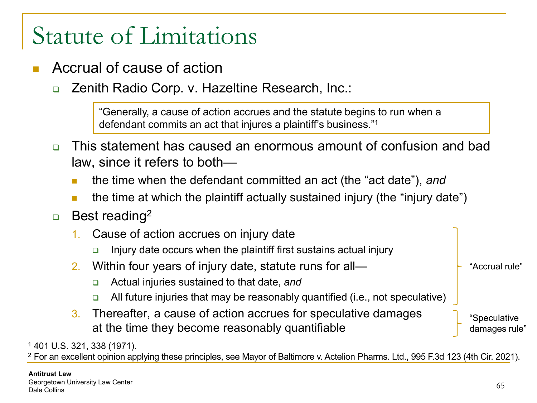- Accrual of cause of action
	- **Q Zenith Radio Corp. v. Hazeltine Research, Inc.:**

"Generally, a cause of action accrues and the statute begins to run when a defendant commits an act that injures a plaintiff's business."1

- This statement has caused an enormous amount of confusion and bad law, since it refers to both
	- **the time when the defendant committed an act (the "act date"), and**
	- **the time at which the plaintiff actually sustained injury (the "injury date")**
- **Best reading**<sup>2</sup>
	- 1. Cause of action accrues on injury date
		- $\Box$  Injury date occurs when the plaintiff first sustains actual injury
	- 2. Within four years of injury date, statute runs for all—
		- Actual injuries sustained to that date, *and*
		- All future injuries that may be reasonably quantified (i.e., not speculative)
	- 3. Thereafter, a cause of action accrues for speculative damages at the time they become reasonably quantifiable

"Speculative damages rule'

"Accrual rule"

<sup>1</sup> 401 U.S. 321, 338 (1971).

<sup>2</sup> For an excellent opinion applying these principles, see Mayor of Baltimore v. Actelion Pharms. Ltd., 995 F.3d 123 (4th Cir. 2021).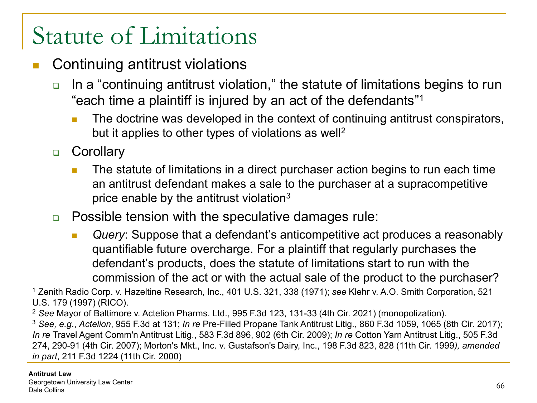- Continuing antitrust violations
	- **□** In a "continuing antitrust violation," the statute of limitations begins to run "each time a plaintiff is injured by an act of the defendants"1
		- The doctrine was developed in the context of continuing antitrust conspirators, but it applies to other types of violations as well<sup>2</sup>
	- **D** Corollary
		- **The statute of limitations in a direct purchaser action begins to run each time** an antitrust defendant makes a sale to the purchaser at a supracompetitive price enable by the antitrust violation $3$
	- **Possible tension with the speculative damages rule:** 
		- **Query:** Suppose that a defendant's anticompetitive act produces a reasonably quantifiable future overcharge. For a plaintiff that regularly purchases the defendant's products, does the statute of limitations start to run with the commission of the act or with the actual sale of the product to the purchaser?

<sup>1</sup> Zenith Radio Corp. v. Hazeltine Research, Inc., 401 U.S. 321, 338 (1971); *see* Klehr v. A.O. Smith Corporation, 521 U.S. 179 (1997) (RICO).

<sup>2</sup> *See* Mayor of Baltimore v. Actelion Pharms. Ltd., 995 F.3d 123, 131-33 (4th Cir. 2021) (monopolization).

<sup>3</sup> *See, e.g*., *Actelion*, 955 F.3d at 131; *In re* Pre-Filled Propane Tank Antitrust Litig., 860 F.3d 1059, 1065 (8th Cir. 2017); *In re* Travel Agent Comm'n Antitrust Litig., 583 F.3d 896, 902 (6th Cir. 2009); *In re* Cotton Yarn Antitrust Litig., 505 F.3d 274, 290-91 (4th Cir. 2007); Morton's Mkt., Inc. v. Gustafson's Dairy, Inc., 198 F.3d 823, 828 (11th Cir. 1999*), amended in part*, 211 F.3d 1224 (11th Cir. 2000)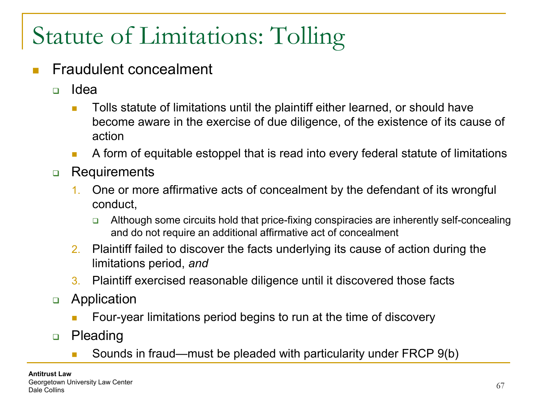- Fraudulent concealment
	- Idea
		- **Tolls statute of limitations until the plaintiff either learned, or should have** become aware in the exercise of due diligence, of the existence of its cause of action
		- A form of equitable estoppel that is read into every federal statute of limitations
	- **Requirements** 
		- 1. One or more affirmative acts of concealment by the defendant of its wrongful conduct,
			- Although some circuits hold that price-fixing conspiracies are inherently self-concealing and do not require an additional affirmative act of concealment
		- 2. Plaintiff failed to discover the facts underlying its cause of action during the limitations period, *and*
		- 3. Plaintiff exercised reasonable diligence until it discovered those facts
	- **D** Application
		- Four-year limitations period begins to run at the time of discovery
	- **D** Pleading
		- Sounds in fraud—must be pleaded with particularity under FRCP 9(b)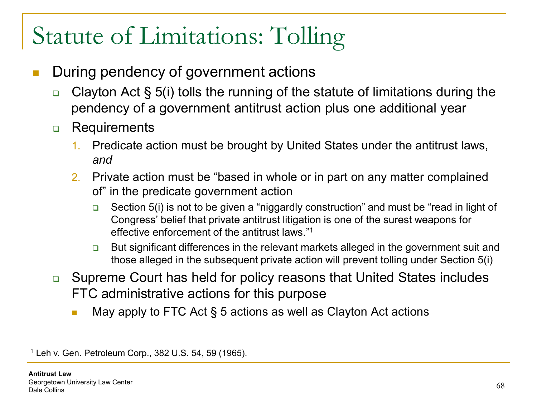- During pendency of government actions
	- **Clayton Act § 5(i) tolls the running of the statute of limitations during the** pendency of a government antitrust action plus one additional year
	- **D** Requirements
		- 1. Predicate action must be brought by United States under the antitrust laws, *and*
		- 2. Private action must be "based in whole or in part on any matter complained of" in the predicate government action
			- **B** Section 5(i) is not to be given a "niggardly construction" and must be "read in light of Congress' belief that private antitrust litigation is one of the surest weapons for effective enforcement of the antitrust laws."1
			- **□** But significant differences in the relevant markets alleged in the government suit and those alleged in the subsequent private action will prevent tolling under Section 5(i)
	- **□** Supreme Court has held for policy reasons that United States includes FTC administrative actions for this purpose
		- $\blacksquare$  May apply to FTC Act § 5 actions as well as Clayton Act actions

<sup>1</sup> Leh v. Gen. Petroleum Corp., 382 U.S. 54, 59 (1965).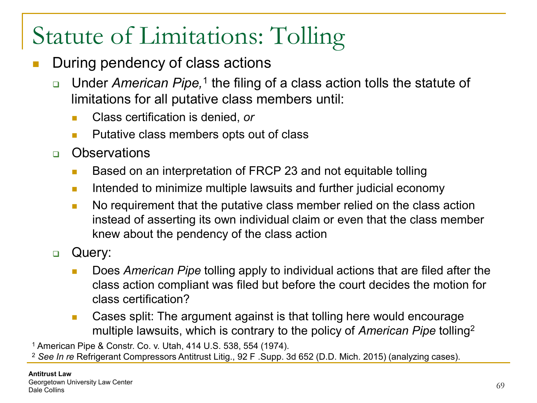- During pendency of class actions
	- □ Under *American Pipe*,<sup>1</sup> the filing of a class action tolls the statute of limitations for all putative class members until:
		- Class certification is denied, *or*
		- **Putative class members opts out of class**
	- n Observations
		- **Based on an interpretation of FRCP 23 and not equitable tolling**
		- **If the lintended to minimize multiple lawsuits and further judicial economy**
		- No requirement that the putative class member relied on the class action instead of asserting its own individual claim or even that the class member knew about the pendency of the class action
	- **Query:** 
		- Does *American Pipe* tolling apply to individual actions that are filed after the class action compliant was filed but before the court decides the motion for class certification?
		- Cases split: The argument against is that tolling here would encourage multiple lawsuits, which is contrary to the policy of *American Pipe* tolling2

<sup>1</sup> American Pipe & Constr. Co. v. Utah, 414 U.S. 538, 554 (1974).

<sup>2</sup> *See In re* Refrigerant Compressors Antitrust Litig., 92 F .Supp. 3d 652 (D.D. Mich. 2015) (analyzing cases).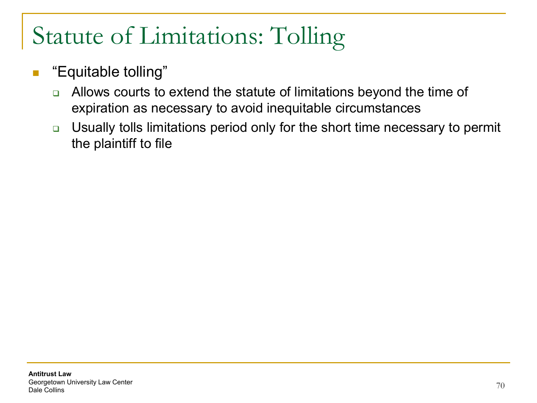- **Equitable tolling**"
	- □ Allows courts to extend the statute of limitations beyond the time of expiration as necessary to avoid inequitable circumstances
	- Usually tolls limitations period only for the short time necessary to permit the plaintiff to file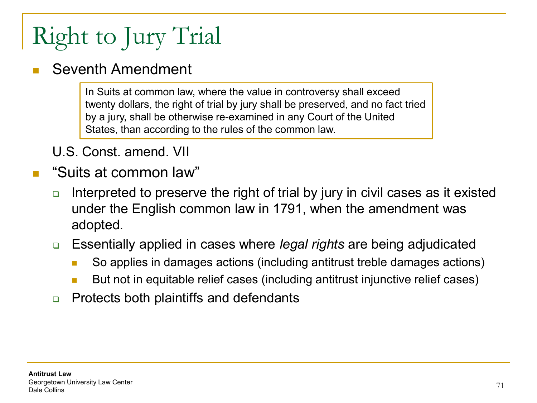# Right to Jury Trial

#### Seventh Amendment

In Suits at common law, where the value in controversy shall exceed twenty dollars, the right of trial by jury shall be preserved, and no fact tried by a jury, shall be otherwise re-examined in any Court of the United States, than according to the rules of the common law.

U.S. Const. amend. VII

- "Suits at common law"
	- Interpreted to preserve the right of trial by jury in civil cases as it existed under the English common law in 1791, when the amendment was adopted.
	- Essentially applied in cases where *legal rights* are being adjudicated
		- So applies in damages actions (including antitrust treble damages actions)
		- **But not in equitable relief cases (including antitrust injunctive relief cases)**
	- **Protects both plaintiffs and defendants**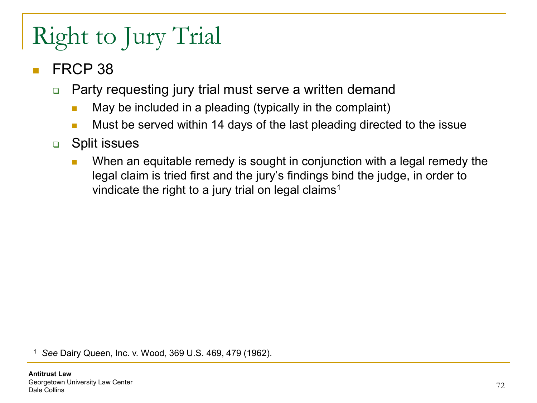# Right to Jury Trial

- FRCP 38
	- □ Party requesting jury trial must serve a written demand
		- $\blacksquare$  May be included in a pleading (typically in the complaint)
		- **Must be served within 14 days of the last pleading directed to the issue**
	- **D** Split issues
		- **Notal 2015** When an equitable remedy is sought in conjunction with a legal remedy the legal claim is tried first and the jury's findings bind the judge, in order to vindicate the right to a jury trial on legal claims<sup>1</sup>

<sup>1</sup> *See* Dairy Queen, Inc. v. Wood, 369 U.S. 469, 479 (1962).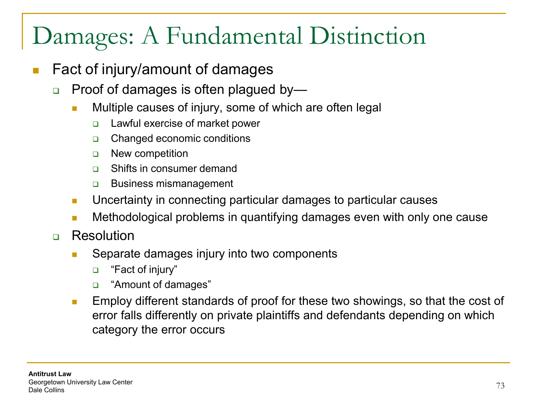#### Damages: A Fundamental Distinction

- Fact of injury/amount of damages
	- □ Proof of damages is often plagued by—
		- **Multiple causes of injury, some of which are often legal** 
			- Lawful exercise of market power
			- □ Changed economic conditions
			- **New competition**
			- □ Shifts in consumer demand
			- **Business mismanagement**
		- **Uncertainty in connecting particular damages to particular causes**
		- **Methodological problems in quantifying damages even with only one cause**
	- **D** Resolution
		- **Separate damages injury into two components** 
			- □ "Fact of injury"
			- "Amount of damages"
		- **Employ different standards of proof for these two showings, so that the cost of** error falls differently on private plaintiffs and defendants depending on which category the error occurs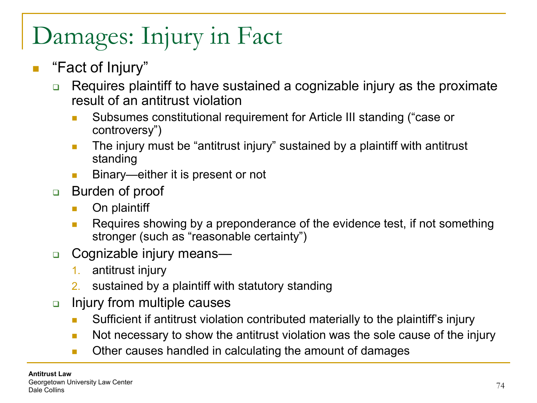## Damages: Injury in Fact

#### ■ "Fact of Injury"

- □ Requires plaintiff to have sustained a cognizable injury as the proximate result of an antitrust violation
	- Subsumes constitutional requirement for Article III standing ("case or controversy")
	- **The injury must be "antitrust injury" sustained by a plaintiff with antitrust** standing
	- Binary—either it is present or not
- **Burden of proof** 
	- **Driptaintiff**
	- **Requires showing by a preponderance of the evidence test, if not something** stronger (such as "reasonable certainty")
- □ Cognizable injury means—
	- 1. antitrust injury
	- 2. sustained by a plaintiff with statutory standing
- **Injury from multiple causes** 
	- **Sufficient if antitrust violation contributed materially to the plaintiff's injury**
	- Not necessary to show the antitrust violation was the sole cause of the injury
	- **Dumber Causes handled in calculating the amount of damages**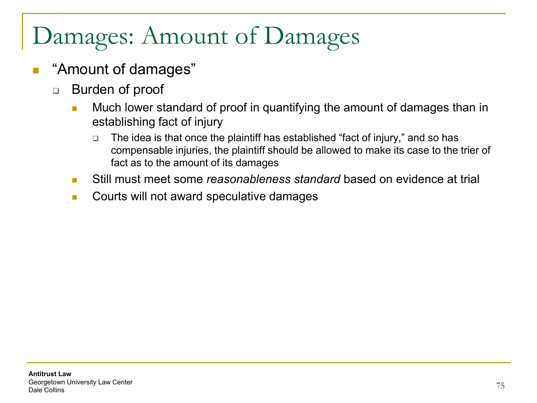## Damages: Amount of Damages

- "Amount of damages"
	- **Burden of proof** 
		- **Much lower standard of proof in quantifying the amount of damages than in** establishing fact of injury
			- $\Box$  The idea is that once the plaintiff has established "fact of injury," and so has compensable injuries, the plaintiff should be allowed to make its case to the trier of fact as to the amount of its damages
		- Still must meet some *reasonableness standard* based on evidence at trial
		- **Courts will not award speculative damages**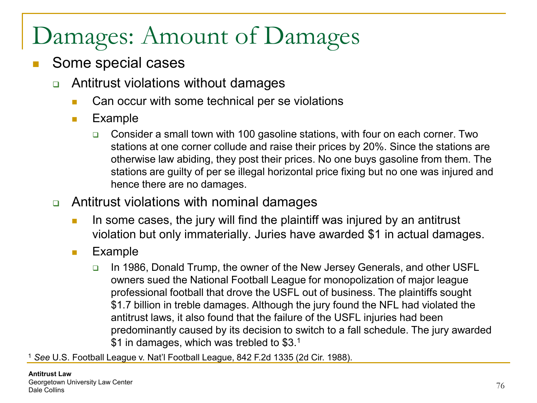## Damages: Amount of Damages

- Some special cases
	- Antitrust violations without damages
		- **Can occur with some technical per se violations**
		- **Example** 
			- Consider a small town with 100 gasoline stations, with four on each corner. Two stations at one corner collude and raise their prices by 20%. Since the stations are otherwise law abiding, they post their prices. No one buys gasoline from them. The stations are guilty of per se illegal horizontal price fixing but no one was injured and hence there are no damages.
	- Antitrust violations with nominal damages
		- In some cases, the jury will find the plaintiff was injured by an antitrust violation but only immaterially. Juries have awarded \$1 in actual damages.
		- **Example** 
			- In 1986, Donald Trump, the owner of the New Jersey Generals, and other USFL owners sued the National Football League for monopolization of major league professional football that drove the USFL out of business. The plaintiffs sought \$1.7 billion in treble damages. Although the jury found the NFL had violated the antitrust laws, it also found that the failure of the USFL injuries had been predominantly caused by its decision to switch to a fall schedule. The jury awarded \$1 in damages, which was trebled to \$3.<sup>1</sup>

<sup>1</sup> *See* U.S. Football League v. Nat'l Football League, 842 F.2d 1335 (2d Cir. 1988).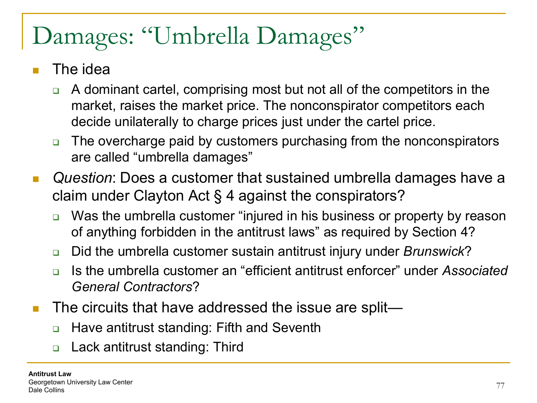## Damages: "Umbrella Damages"

- The idea
	- A dominant cartel, comprising most but not all of the competitors in the market, raises the market price. The nonconspirator competitors each decide unilaterally to charge prices just under the cartel price.
	- □ The overcharge paid by customers purchasing from the nonconspirators are called "umbrella damages"
- *Question*: Does a customer that sustained umbrella damages have a claim under Clayton Act § 4 against the conspirators?
	- □ Was the umbrella customer "injured in his business or property by reason of anything forbidden in the antitrust laws" as required by Section 4?
	- Did the umbrella customer sustain antitrust injury under *Brunswick*?
	- □ Is the umbrella customer an "efficient antitrust enforcer" under *Associated General Contractors*?
- The circuits that have addressed the issue are split—
	- Have antitrust standing: Fifth and Seventh
	- □ Lack antitrust standing: Third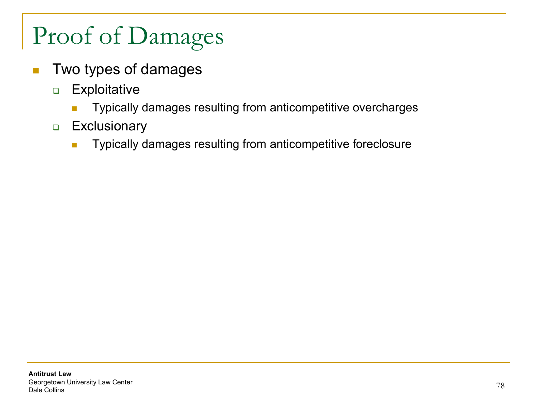- **Two types of damages** 
	- **Exploitative** 
		- **Typically damages resulting from anticompetitive overcharges**
	- **Exclusionary** 
		- **Typically damages resulting from anticompetitive foreclosure**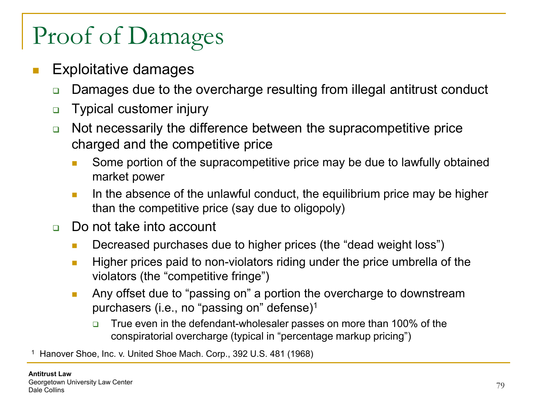- Exploitative damages
	- **□** Damages due to the overcharge resulting from illegal antitrust conduct
	- **D** Typical customer injury
	- Not necessarily the difference between the supracompetitive price charged and the competitive price
		- **Some portion of the supracompetitive price may be due to lawfully obtained** market power
		- In the absence of the unlawful conduct, the equilibrium price may be higher than the competitive price (say due to oligopoly)
	- □ Do not take into account
		- **Decreased purchases due to higher prices (the "dead weight loss")**
		- $\blacksquare$  Higher prices paid to non-violators riding under the price umbrella of the violators (the "competitive fringe")
		- **Any offset due to "passing on" a portion the overcharge to downstream** purchasers (i.e., no "passing on" defense)1
			- True even in the defendant-wholesaler passes on more than 100% of the conspiratorial overcharge (typical in "percentage markup pricing")

Hanover Shoe, Inc. v. United Shoe Mach. Corp., 392 U.S. 481 (1968)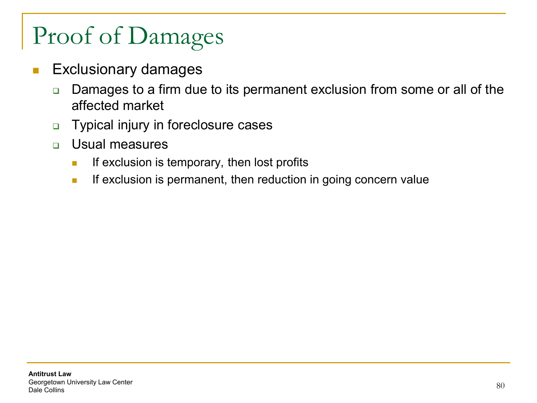- **Exclusionary damages** 
	- □ Damages to a firm due to its permanent exclusion from some or all of the affected market
	- **D** Typical injury in foreclosure cases
	- Usual measures
		- If exclusion is temporary, then lost profits
		- **If exclusion is permanent, then reduction in going concern value**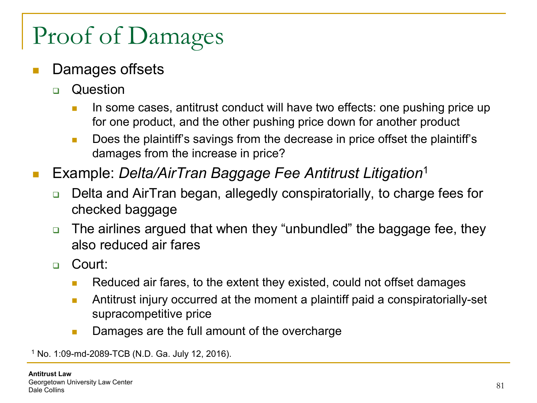#### Damages offsets

- **D** Question
	- In some cases, antitrust conduct will have two effects: one pushing price up for one product, and the other pushing price down for another product
	- **Does the plaintiff's savings from the decrease in price offset the plaintiff's** damages from the increase in price?
- Example: *Delta/AirTran Baggage Fee Antitrust Litigation*<sup>1</sup>
	- □ Delta and AirTran began, allegedly conspiratorially, to charge fees for checked baggage
	- □ The airlines argued that when they "unbundled" the baggage fee, they also reduced air fares
	- Court:
		- Reduced air fares, to the extent they existed, could not offset damages
		- **Antitrust injury occurred at the moment a plaintiff paid a conspiratorially-set** supracompetitive price
		- **Damages are the full amount of the overcharge**

<sup>1</sup> No. 1:09-md-2089-TCB (N.D. Ga. July 12, 2016).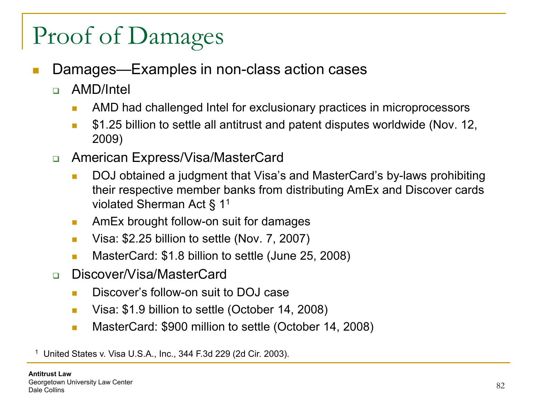- Damages—Examples in non-class action cases
	- AMD/Intel
		- **AMD** had challenged Intel for exclusionary practices in microprocessors
		- \$1.25 billion to settle all antitrust and patent disputes worldwide (Nov. 12, 2009)
	- American Express/Visa/MasterCard
		- DOJ obtained a judgment that Visa's and MasterCard's by-laws prohibiting their respective member banks from distributing AmEx and Discover cards violated Sherman Act § 11
		- **AmEx brought follow-on suit for damages**
		- Visa: \$2.25 billion to settle (Nov. 7, 2007)
		- **MasterCard: \$1.8 billion to settle (June 25, 2008)**
	- □ Discover/Visa/MasterCard
		- **Discover's follow-on suit to DOJ case**
		- **UP** Visa: \$1.9 billion to settle (October 14, 2008)
		- **MasterCard: \$900 million to settle (October 14, 2008)**

<sup>1</sup> United States v. Visa U.S.A., Inc., 344 F.3d 229 (2d Cir. 2003).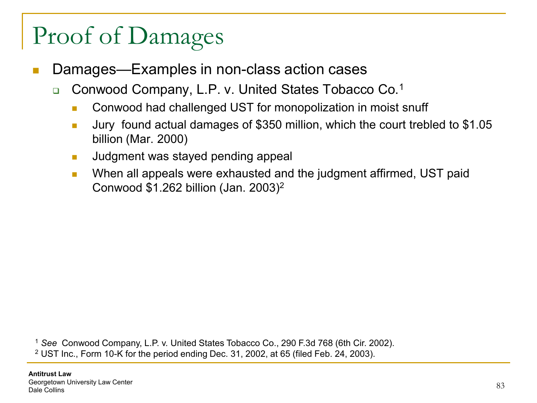- Damages—Examples in non-class action cases
	- □ Conwood Company, L.P. v. United States Tobacco Co.<sup>1</sup>
		- **Conwood had challenged UST for monopolization in moist snuff**
		- **Jury found actual damages of \$350 million, which the court trebled to \$1.05** billion (Mar. 2000)
		- **Judgment was stayed pending appeal**
		- **Notally 10 Sepannish Exhausted and the judgment affirmed, UST paid Integrated System** Conwood \$1.262 billion (Jan. 2003)2

<sup>1</sup> *See* Conwood Company, L.P. v. United States Tobacco Co., 290 F.3d 768 (6th Cir. 2002). <sup>2</sup> UST Inc., Form 10-K for the period ending Dec. 31, 2002, at 65 (filed Feb. 24, 2003).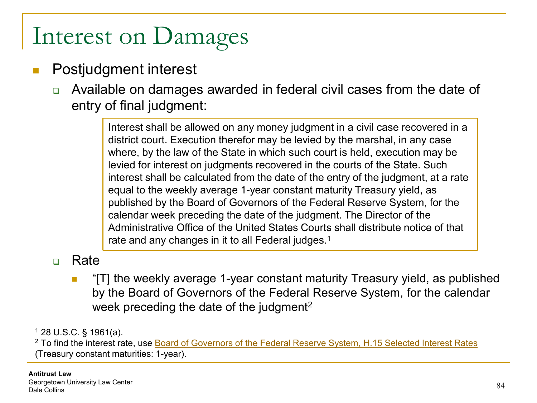#### Interest on Damages

#### Postjudgment interest

 Available on damages awarded in federal civil cases from the date of entry of final judgment:

> Interest shall be allowed on any money judgment in a civil case recovered in a district court. Execution therefor may be levied by the marshal, in any case where, by the law of the State in which such court is held, execution may be levied for interest on judgments recovered in the courts of the State. Such interest shall be calculated from the date of the entry of the judgment, at a rate equal to the weekly average 1-year constant maturity Treasury yield, as published by the Board of Governors of the Federal Reserve System, for the calendar week preceding the date of the judgment. The Director of the Administrative Office of the United States Courts shall distribute notice of that rate and any changes in it to all Federal judges.<sup>1</sup>

#### n Rate

 "[T] the weekly average 1-year constant maturity Treasury yield, as published by the Board of Governors of the Federal Reserve System, for the calendar week preceding the date of the judgment<sup>2</sup>

<sup>1</sup> 28 U.S.C. § 1961(a).

<sup>2</sup> To find the interest rate, use Board of Governors of the Federal Reserve System, H.15 Selected Interest Rates (Treasury constant maturities: 1-year).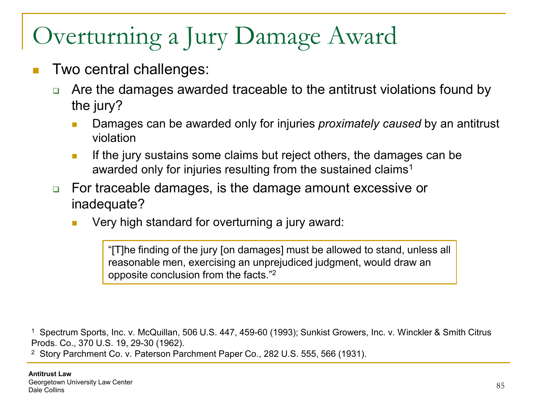#### Overturning a Jury Damage Award

- Two central challenges:
	- □ Are the damages awarded traceable to the antitrust violations found by the jury?
		- Damages can be awarded only for injuries *proximately caused* by an antitrust violation
		- If the jury sustains some claims but reject others, the damages can be awarded only for injuries resulting from the sustained claims<sup>1</sup>
	- For traceable damages, is the damage amount excessive or inadequate?
		- Very high standard for overturning a jury award:

"[T]he finding of the jury [on damages] must be allowed to stand, unless all reasonable men, exercising an unprejudiced judgment, would draw an opposite conclusion from the facts."2

<sup>1</sup> Spectrum Sports, Inc. v. McQuillan, 506 U.S. 447, 459-60 (1993); Sunkist Growers, Inc. v. Winckler & Smith Citrus Prods. Co., 370 U.S. 19, 29-30 (1962).

<sup>2</sup> Story Parchment Co. v. Paterson Parchment Paper Co., 282 U.S. 555, 566 (1931).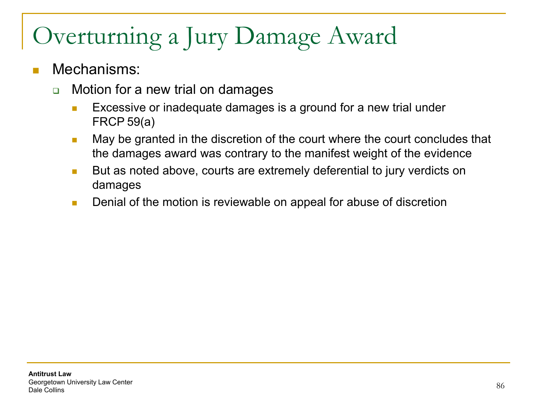### Overturning a Jury Damage Award

#### Mechanisms:

- **□** Motion for a new trial on damages
	- **EXCESSIVE OF INADEQUATE damages is a ground for a new trial under** FRCP 59(a)
	- **May be granted in the discretion of the court where the court concludes that** the damages award was contrary to the manifest weight of the evidence
	- But as noted above, courts are extremely deferential to jury verdicts on damages
	- **Denial of the motion is reviewable on appeal for abuse of discretion**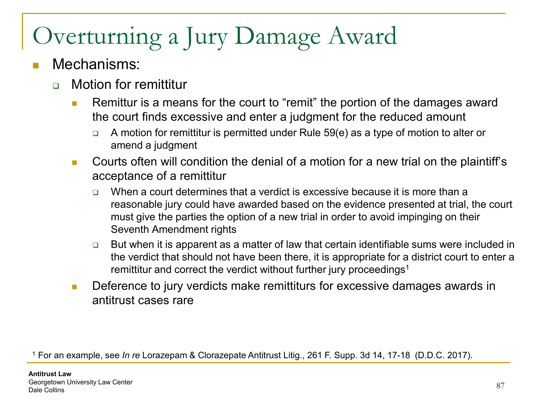## Overturning a Jury Damage Award

#### Mechanisms:

- **n** Motion for remittitur
	- **Remittur is a means for the court to "remit" the portion of the damages award** the court finds excessive and enter a judgment for the reduced amount
		- A motion for remittitur is permitted under Rule 59(e) as a type of motion to alter or amend a judgment
	- Courts often will condition the denial of a motion for a new trial on the plaintiff's acceptance of a remittitur
		- $\Box$  When a court determines that a verdict is excessive because it is more than a reasonable jury could have awarded based on the evidence presented at trial, the court must give the parties the option of a new trial in order to avoid impinging on their Seventh Amendment rights
		- $\Box$  But when it is apparent as a matter of law that certain identifiable sums were included in the verdict that should not have been there, it is appropriate for a district court to enter a remittitur and correct the verdict without further jury proceedings<sup>1</sup>
	- **Deference to jury verdicts make remittiturs for excessive damages awards in** antitrust cases rare

<sup>1</sup> For an example, see *In re* Lorazepam & Clorazepate Antitrust Litig., 261 F. Supp. 3d 14, 17-18 (D.D.C. 2017).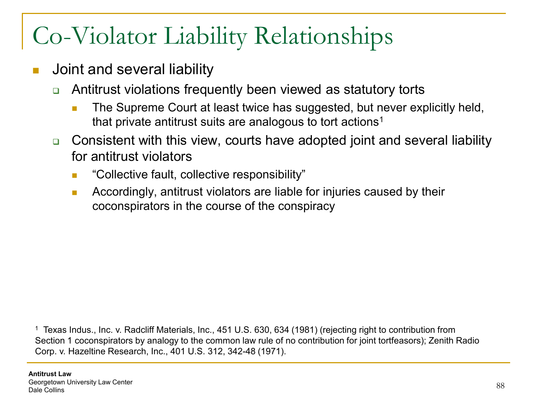- Joint and several liability
	- Antitrust violations frequently been viewed as statutory torts
		- **The Supreme Court at least twice has suggested, but never explicitly held,** that private antitrust suits are analogous to tort actions<sup>1</sup>
	- **□** Consistent with this view, courts have adopted joint and several liability for antitrust violators
		- **EXECOLLECTIVE FAULE, COLLECTIVE RESPONSIBILITY**"
		- **Accordingly, antitrust violators are liable for injuries caused by their** coconspirators in the course of the conspiracy

<sup>1</sup> Texas Indus., Inc. v. Radcliff Materials, Inc., 451 U.S. 630, 634 (1981) (rejecting right to contribution from Section 1 coconspirators by analogy to the common law rule of no contribution for joint tortfeasors); Zenith Radio Corp. v. Hazeltine Research, Inc., 401 U.S. 312, 342-48 (1971).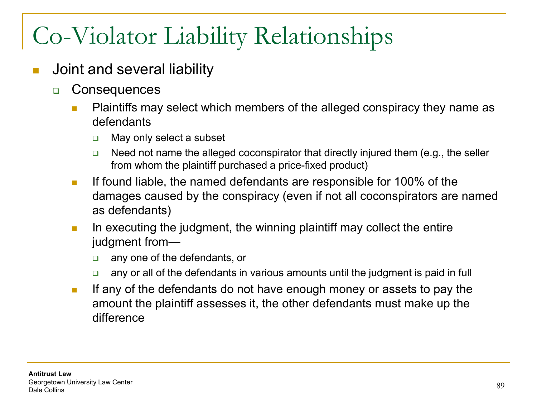- Joint and several liability
	- **D** Consequences
		- **Plaintiffs may select which members of the alleged conspiracy they name as** defendants
			- □ May only select a subset
			- $\Box$  Need not name the alleged coconspirator that directly injured them (e.g., the seller from whom the plaintiff purchased a price-fixed product)
		- If found liable, the named defendants are responsible for 100% of the damages caused by the conspiracy (even if not all coconspirators are named as defendants)
		- In executing the judgment, the winning plaintiff may collect the entire judgment from
			- any one of the defendants, or
			- **a** any or all of the defendants in various amounts until the judgment is paid in full
		- If any of the defendants do not have enough money or assets to pay the amount the plaintiff assesses it, the other defendants must make up the difference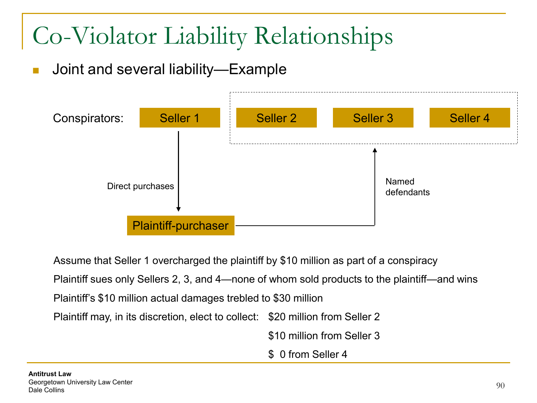Joint and several liability—Example



Assume that Seller 1 overcharged the plaintiff by \$10 million as part of a conspiracy Plaintiff sues only Sellers 2, 3, and 4—none of whom sold products to the plaintiff—and wins Plaintiff's \$10 million actual damages trebled to \$30 million Plaintiff may, in its discretion, elect to collect: \$20 million from Seller 2 \$10 million from Seller 3 \$ 0 from Seller 4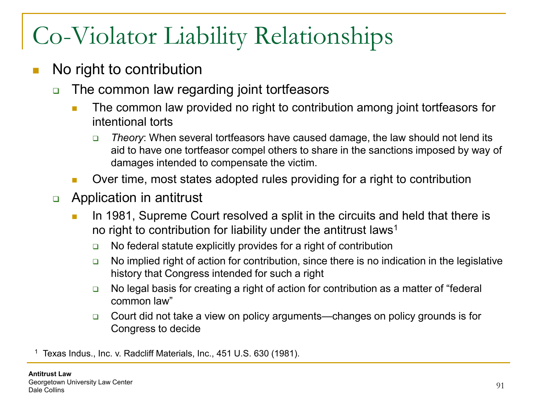- No right to contribution
	- □ The common law regarding joint tortfeasors
		- **The common law provided no right to contribution among joint tortfeasors for** intentional torts
			- *Theory*: When several tortfeasors have caused damage, the law should not lend its aid to have one tortfeasor compel others to share in the sanctions imposed by way of damages intended to compensate the victim.
		- Over time, most states adopted rules providing for a right to contribution
	- **Example 20** Application in antitrust
		- In 1981, Supreme Court resolved a split in the circuits and held that there is no right to contribution for liability under the antitrust laws<sup>1</sup>
			- $\Box$  No federal statute explicitly provides for a right of contribution
			- $\Box$  No implied right of action for contribution, since there is no indication in the legislative history that Congress intended for such a right
			- □ No legal basis for creating a right of action for contribution as a matter of "federal common law"
			- □ Court did not take a view on policy arguments—changes on policy grounds is for Congress to decide

<sup>1</sup> Texas Indus., Inc. v. Radcliff Materials, Inc., 451 U.S. 630 (1981).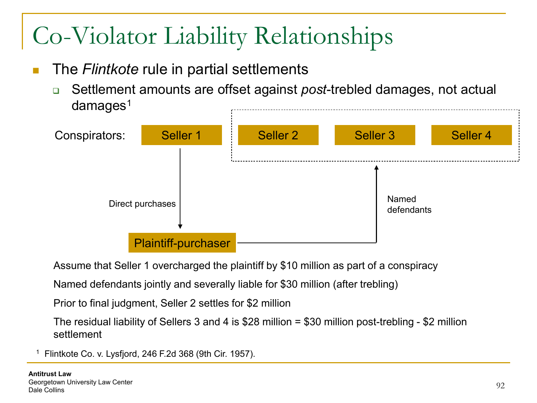- The *Flintkote* rule in partial settlements
	- Settlement amounts are offset against *post*-trebled damages, not actual  $damages<sup>1</sup>$



Assume that Seller 1 overcharged the plaintiff by \$10 million as part of a conspiracy

Named defendants jointly and severally liable for \$30 million (after trebling)

Prior to final judgment, Seller 2 settles for \$2 million

The residual liability of Sellers 3 and 4 is \$28 million = \$30 million post-trebling - \$2 million settlement

<sup>1</sup> Flintkote Co. v. Lysfjord, 246 F.2d 368 (9th Cir. 1957).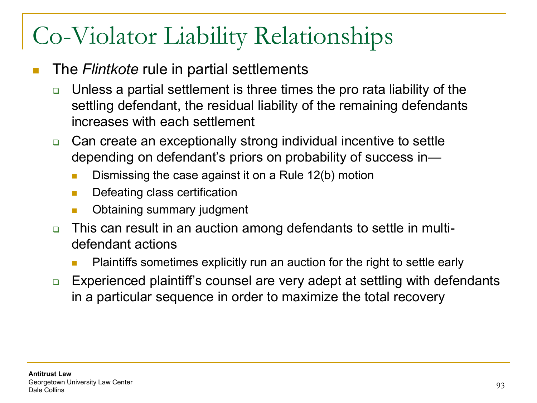- The *Flintkote* rule in partial settlements
	- □ Unless a partial settlement is three times the pro rata liability of the settling defendant, the residual liability of the remaining defendants increases with each settlement
	- **□** Can create an exceptionally strong individual incentive to settle depending on defendant's priors on probability of success in—
		- **Dismissing the case against it on a Rule 12(b) motion**
		- **Defeating class certification**
		- Obtaining summary judgment
	- This can result in an auction among defendants to settle in multidefendant actions
		- Plaintiffs sometimes explicitly run an auction for the right to settle early
	- Experienced plaintiff's counsel are very adept at settling with defendants in a particular sequence in order to maximize the total recovery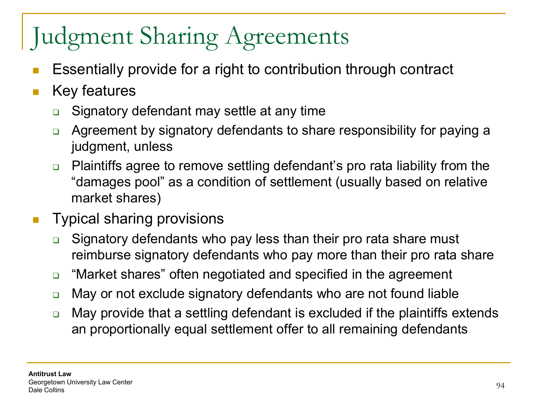- Essentially provide for a right to contribution through contract
- **Key features** 
	- **□** Signatory defendant may settle at any time
	- □ Agreement by signatory defendants to share responsibility for paying a judgment, unless
	- □ Plaintiffs agree to remove settling defendant's pro rata liability from the "damages pool" as a condition of settlement (usually based on relative market shares)
- **Typical sharing provisions** 
	- **□** Signatory defendants who pay less than their pro rata share must reimburse signatory defendants who pay more than their pro rata share
	- □ "Market shares" often negotiated and specified in the agreement
	- **□** May or not exclude signatory defendants who are not found liable
	- □ May provide that a settling defendant is excluded if the plaintiffs extends an proportionally equal settlement offer to all remaining defendants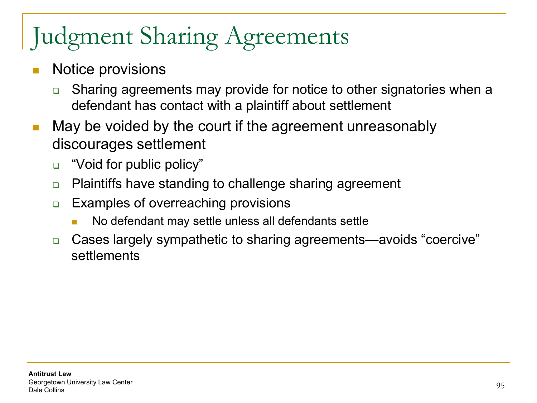- Notice provisions
	- **□** Sharing agreements may provide for notice to other signatories when a defendant has contact with a plaintiff about settlement
- **May be voided by the court if the agreement unreasonably** discourages settlement
	- □ "Void for public policy"
	- **□** Plaintiffs have standing to challenge sharing agreement
	- **□** Examples of overreaching provisions
		- No defendant may settle unless all defendants settle
	- Cases largely sympathetic to sharing agreements—avoids "coercive" settlements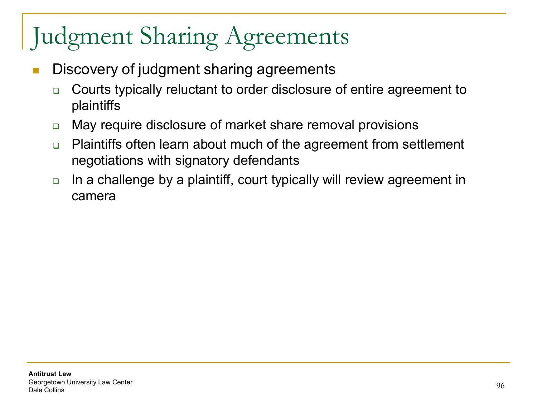- Discovery of judgment sharing agreements
	- **□** Courts typically reluctant to order disclosure of entire agreement to plaintiffs
	- □ May require disclosure of market share removal provisions
	- **□** Plaintiffs often learn about much of the agreement from settlement negotiations with signatory defendants
	- $\Box$  In a challenge by a plaintiff, court typically will review agreement in camera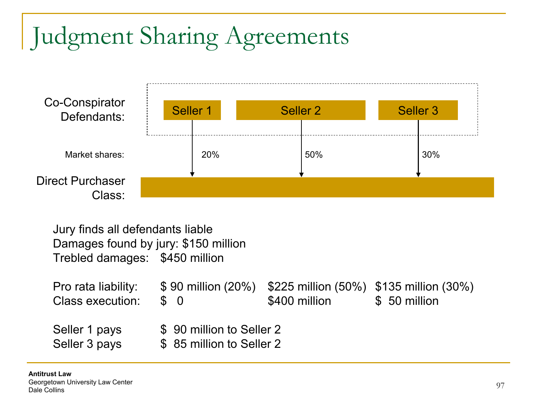

Jury finds all defendants liable Damages found by jury: \$150 million Trebled damages: \$450 million

| Pro rata liability:<br>Class execution: | \$90 million (20%) \$225 million (50%) \$135 million (30%)<br>$\mathcal{S}$ 0 | \$400 million | \$ 50 million |
|-----------------------------------------|-------------------------------------------------------------------------------|---------------|---------------|
| Seller 1 pays<br>Seller 3 pays          | \$ 90 million to Seller 2<br>\$85 million to Seller 2                         |               |               |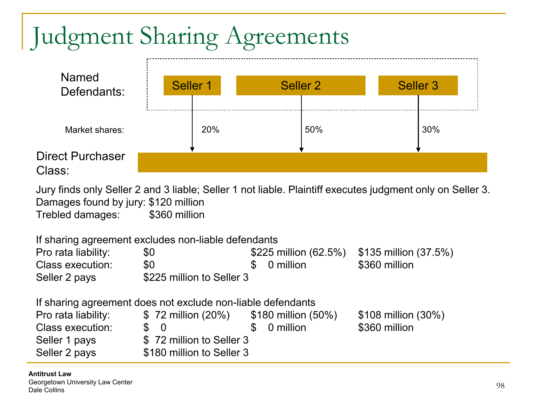

Jury finds only Seller 2 and 3 liable; Seller 1 not liable. Plaintiff executes judgment only on Seller 3. Damages found by jury: \$120 million Trebled damages: \$360 million

If sharing agreement excludes non-liable defendants Pro rata liability:  $$0$  \$225 million (62.5%) \$135 million (37.5%) Class execution:  $$0$  \$ 0 million \$360 million Seller 2 pays \$225 million to Seller 3

If sharing agreement does not exclude non-liable defendants

| Pro rata liability: | $$72$ million (20%)       | \$180 million (50%) | \$108 million (30%) |
|---------------------|---------------------------|---------------------|---------------------|
| Class execution:    | $\mathcal{S}$ 0           | \$ 0 million        | \$360 million       |
| Seller 1 pays       | \$72 million to Seller 3  |                     |                     |
| Seller 2 pays       | \$180 million to Seller 3 |                     |                     |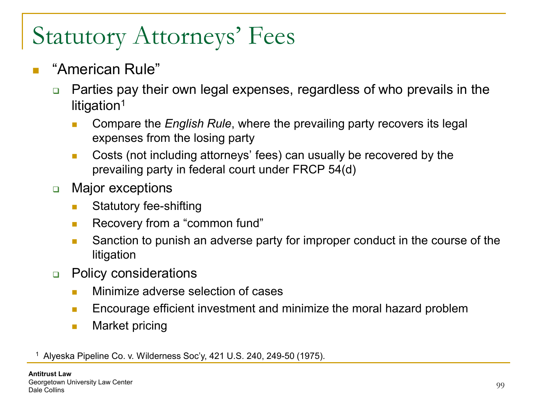#### "American Rule"

- □ Parties pay their own legal expenses, regardless of who prevails in the litigation<sup>1</sup>
	- **Compare the** *English Rule*, where the prevailing party recovers its legal expenses from the losing party
	- **Costs (not including attorneys' fees) can usually be recovered by the** prevailing party in federal court under FRCP 54(d)
- **D** Major exceptions
	- **Statutory fee-shifting**
	- **Recovery from a "common fund"**
	- **Sanction to punish an adverse party for improper conduct in the course of the** litigation
- **D** Policy considerations
	- **Ninimize adverse selection of cases**
	- **Encourage efficient investment and minimize the moral hazard problem**
	- **Narket pricing**

<sup>1</sup> Alyeska Pipeline Co. v. Wilderness Soc'y, 421 U.S. 240, 249-50 (1975).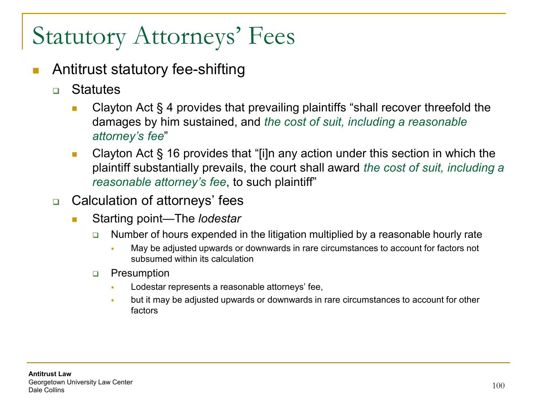- Antitrust statutory fee-shifting
	- **n** Statutes
		- Clayton Act § 4 provides that prevailing plaintiffs "shall recover threefold the damages by him sustained, and *the cost of suit, including a reasonable attorney's fee*"
		- **Clayton Act § 16 provides that "[i]n any action under this section in which the** plaintiff substantially prevails, the court shall award *the cost of suit, including a reasonable attorney's fee*, to such plaintiff"
	- □ Calculation of attorneys' fees
		- Starting point—The *lodestar* 
			- □ Number of hours expended in the litigation multiplied by a reasonable hourly rate
				- May be adjusted upwards or downwards in rare circumstances to account for factors not subsumed within its calculation
			- **D** Presumption
				- Lodestar represents a reasonable attorneys' fee,
				- but it may be adjusted upwards or downwards in rare circumstances to account for other factors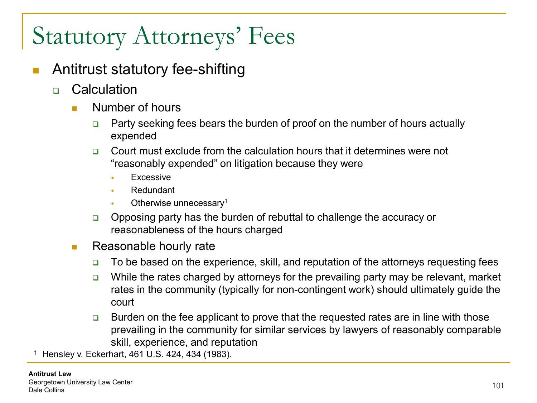- Antitrust statutory fee-shifting
	- **n** Calculation
		- **Number of hours** 
			- $\Box$  Party seeking fees bears the burden of proof on the number of hours actually expended
			- Court must exclude from the calculation hours that it determines were not "reasonably expended" on litigation because they were
				- Excessive
				- **Redundant**
				- Otherwise unnecessary1
			- **Opposing party has the burden of rebuttal to challenge the accuracy or** reasonableness of the hours charged
		- **Reasonable hourly rate** 
			- $\Box$  To be based on the experience, skill, and reputation of the attorneys requesting fees
			- $\Box$  While the rates charged by attorneys for the prevailing party may be relevant, market rates in the community (typically for non-contingent work) should ultimately guide the court
			- $\Box$  Burden on the fee applicant to prove that the requested rates are in line with those prevailing in the community for similar services by lawyers of reasonably comparable skill, experience, and reputation

<sup>1</sup> Hensley v. Eckerhart, 461 U.S. 424, 434 (1983).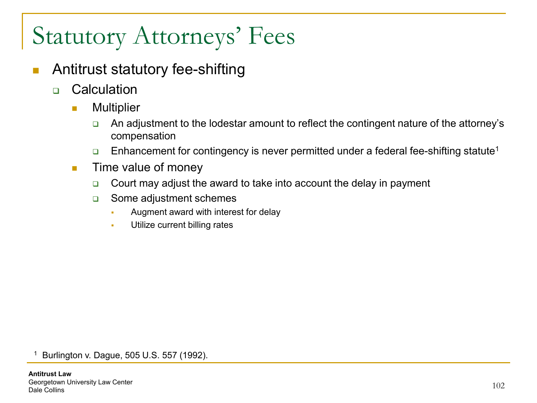- **Antitrust statutory fee-shifting** 
	- □ Calculation
		- **n** Multiplier
			- □ An adjustment to the lodestar amount to reflect the contingent nature of the attorney's compensation
			- **Enhancement for contingency is never permitted under a federal fee-shifting statute**<sup>1</sup>
		- **Time value of money** 
			- $\Box$  Court may adjust the award to take into account the delay in payment
			- □ Some adjustment schemes
				- **Augment award with interest for delay**
				- **Utilize current billing rates**

<sup>1</sup> Burlington v. Dague, 505 U.S. 557 (1992).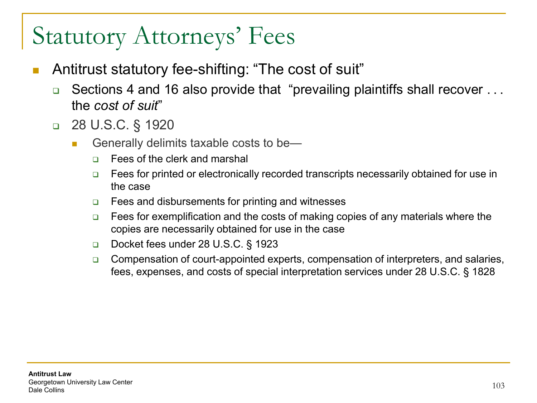- Antitrust statutory fee-shifting: "The cost of suit"
	- **□** Sections 4 and 16 also provide that "prevailing plaintiffs shall recover . . . the *cost of suit*"
	- 28 U.S.C. § 1920
		- Generally delimits taxable costs to be—
			- □ Fees of the clerk and marshal
			- □ Fees for printed or electronically recorded transcripts necessarily obtained for use in the case
			- $\Box$  Fees and disbursements for printing and witnesses
			- $\Box$  Fees for exemplification and the costs of making copies of any materials where the copies are necessarily obtained for use in the case
			- Docket fees under 28 U.S.C. § 1923
			- **□** Compensation of court-appointed experts, compensation of interpreters, and salaries, fees, expenses, and costs of special interpretation services under 28 U.S.C. § 1828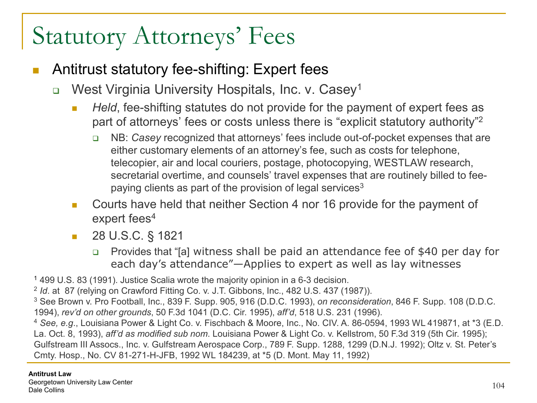- Antitrust statutory fee-shifting: Expert fees
	- □ West Virginia University Hospitals, Inc. v. Casey<sup>1</sup>
		- **Held, fee-shifting statutes do not provide for the payment of expert fees as** part of attorneys' fees or costs unless there is "explicit statutory authority"2
			- NB: *Casey* recognized that attorneys' fees include out-of-pocket expenses that are either customary elements of an attorney's fee, such as costs for telephone, telecopier, air and local couriers, postage, photocopying, WESTLAW research, secretarial overtime, and counsels' travel expenses that are routinely billed to feepaying clients as part of the provision of legal services<sup>3</sup>
		- Courts have held that neither Section 4 nor 16 provide for the payment of expert fees<sup>4</sup>
		- **28 U.S.C. § 1821** 
			- Provides that "[a] witness shall be paid an attendance fee of \$40 per day for each day's attendance"—Applies to expert as well as lay witnesses

<sup>1</sup> 499 U.S. 83 (1991). Justice Scalia wrote the majority opinion in a 6-3 decision.

<sup>2</sup> *Id*. at 87 (relying on Crawford Fitting Co. v. J.T. Gibbons, Inc., 482 U.S. 437 (1987)).

<sup>3</sup> See Brown v. Pro Football, Inc., 839 F. Supp. 905, 916 (D.D.C. 1993), *on reconsideration*, 846 F. Supp. 108 (D.D.C. 1994), *rev'd on other grounds*, 50 F.3d 1041 (D.C. Cir. 1995), *aff'd*, 518 U.S. 231 (1996).

<sup>4</sup> *See, e.g*., Louisiana Power & Light Co. v. Fischbach & Moore, Inc., No. CIV. A. 86-0594, 1993 WL 419871, at \*3 (E.D. La. Oct. 8, 1993), *aff'd as modified sub nom*. Louisiana Power & Light Co. v. Kellstrom, 50 F.3d 319 (5th Cir. 1995); Gulfstream III Assocs., Inc. v. Gulfstream Aerospace Corp., 789 F. Supp. 1288, 1299 (D.N.J. 1992); Oltz v. St. Peter's Cmty. Hosp., No. CV 81-271-H-JFB, 1992 WL 184239, at \*5 (D. Mont. May 11, 1992)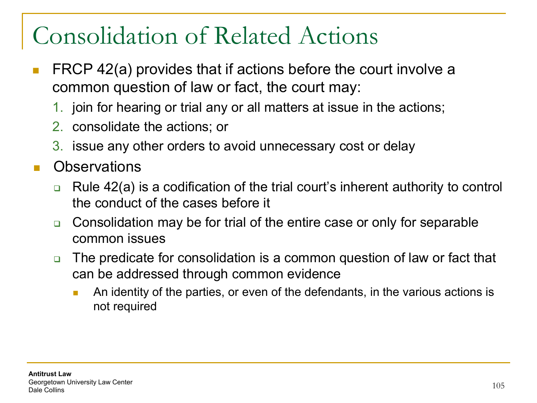#### Consolidation of Related Actions

- FRCP 42(a) provides that if actions before the court involve a common question of law or fact, the court may:
	- 1. join for hearing or trial any or all matters at issue in the actions;
	- 2. consolidate the actions; or
	- 3. issue any other orders to avoid unnecessary cost or delay
- **Observations** 
	- $\Box$  Rule 42(a) is a codification of the trial court's inherent authority to control the conduct of the cases before it
	- **□** Consolidation may be for trial of the entire case or only for separable common issues
	- □ The predicate for consolidation is a common question of law or fact that can be addressed through common evidence
		- **An identity of the parties, or even of the defendants, in the various actions is** not required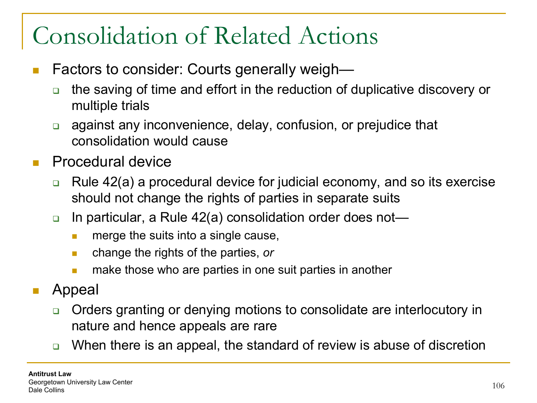#### Consolidation of Related Actions

- Factors to consider: Courts generally weigh
	- the saving of time and effort in the reduction of duplicative discovery or multiple trials
	- **a** against any inconvenience, delay, confusion, or prejudice that consolidation would cause
- Procedural device
	- $\Box$  Rule 42(a) a procedural device for judicial economy, and so its exercise should not change the rights of parties in separate suits
	- □ In particular, a Rule 42(a) consolidation order does not—
		- $\blacksquare$  merge the suits into a single cause,
		- change the rights of the parties, *or*
		- **numake those who are parties in one suit parties in another**
- Appeal
	- □ Orders granting or denying motions to consolidate are interlocutory in nature and hence appeals are rare
	- □ When there is an appeal, the standard of review is abuse of discretion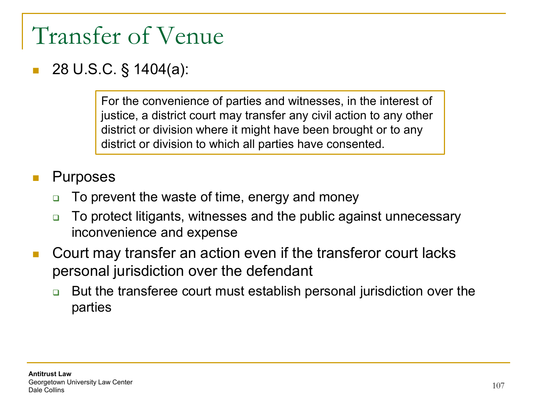#### Transfer of Venue

#### 28 U.S.C. § 1404(a):

For the convenience of parties and witnesses, in the interest of justice, a district court may transfer any civil action to any other district or division where it might have been brought or to any district or division to which all parties have consented.

#### Purposes

- **□** To prevent the waste of time, energy and money
- **□** To protect litigants, witnesses and the public against unnecessary inconvenience and expense
- Court may transfer an action even if the transferor court lacks personal jurisdiction over the defendant
	- But the transferee court must establish personal jurisdiction over the parties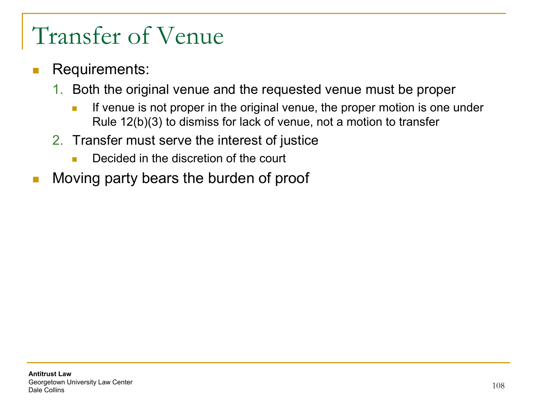#### Transfer of Venue

- Requirements:
	- 1. Both the original venue and the requested venue must be proper
		- If venue is not proper in the original venue, the proper motion is one under Rule 12(b)(3) to dismiss for lack of venue, not a motion to transfer
	- 2. Transfer must serve the interest of justice
		- Decided in the discretion of the court
- **Noving party bears the burden of proof**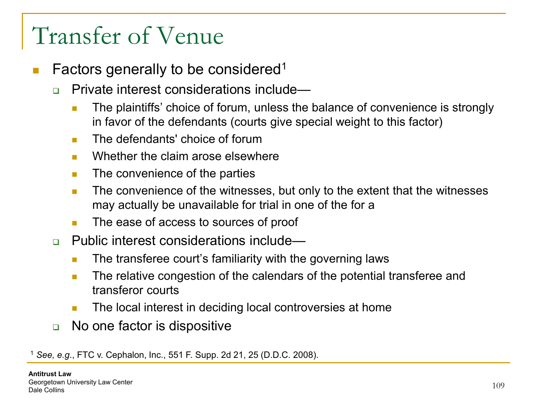#### Transfer of Venue

- Factors generally to be considered1
	- □ Private interest considerations include—
		- **The plaintiffs' choice of forum, unless the balance of convenience is strongly** in favor of the defendants (courts give special weight to this factor)
		- **The defendants' choice of forum**
		- **Numerally Mether the claim arose elsewhere**
		- $\blacksquare$  The convenience of the parties
		- **The convenience of the witnesses, but only to the extent that the witnesses** may actually be unavailable for trial in one of the for a
		- The ease of access to sources of proof
	- □ Public interest considerations include—
		- **The transferee court's familiarity with the governing laws**
		- **The relative congestion of the calendars of the potential transferee and** transferor courts
		- The local interest in deciding local controversies at home
	- **□** No one factor is dispositive

<sup>1</sup> *See, e.g*., FTC v. Cephalon, Inc., 551 F. Supp. 2d 21, 25 (D.D.C. 2008).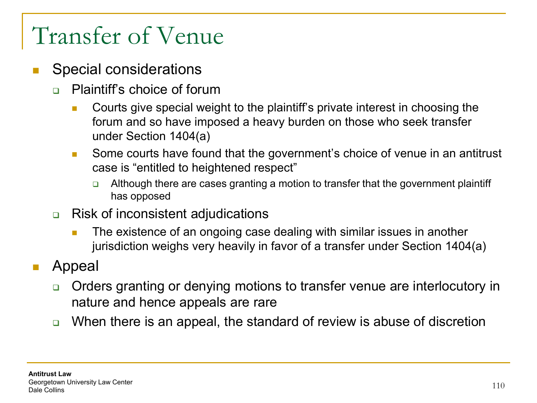#### Transfer of Venue

- Special considerations
	- □ Plaintiff's choice of forum
		- **Courts give special weight to the plaintiff's private interest in choosing the** forum and so have imposed a heavy burden on those who seek transfer under Section 1404(a)
		- Some courts have found that the government's choice of venue in an antitrust case is "entitled to heightened respect"
			- Although there are cases granting a motion to transfer that the government plaintiff has opposed
	- **□** Risk of inconsistent adjudications
		- The existence of an ongoing case dealing with similar issues in another jurisdiction weighs very heavily in favor of a transfer under Section 1404(a)

#### Appeal

- □ Orders granting or denying motions to transfer venue are interlocutory in nature and hence appeals are rare
- □ When there is an appeal, the standard of review is abuse of discretion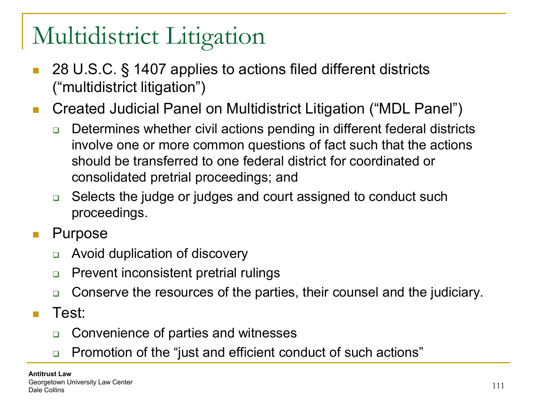- 28 U.S.C. § 1407 applies to actions filed different districts ("multidistrict litigation")
- Created Judicial Panel on Multidistrict Litigation ("MDL Panel")
	- □ Determines whether civil actions pending in different federal districts involve one or more common questions of fact such that the actions should be transferred to one federal district for coordinated or consolidated pretrial proceedings; and
	- **□** Selects the judge or judges and court assigned to conduct such proceedings.
- **Purpose** 
	- **EXECUTE:** Avoid duplication of discovery
	- **Prevent inconsistent pretrial rulings**
	- **□** Conserve the resources of the parties, their counsel and the judiciary.
- Test:
	- **□** Convenience of parties and witnesses
	- □ Promotion of the "just and efficient conduct of such actions"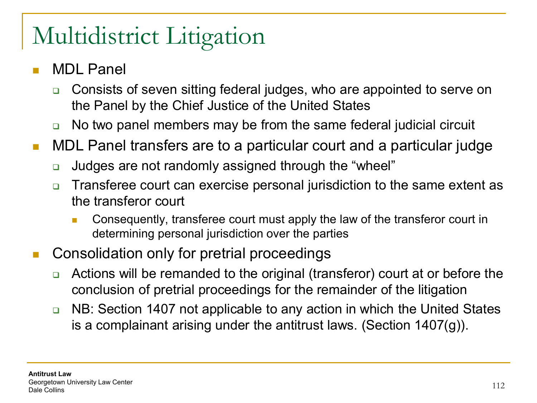- MDL Panel
	- **□** Consists of seven sitting federal judges, who are appointed to serve on the Panel by the Chief Justice of the United States
	- □ No two panel members may be from the same federal judicial circuit
- **NDL Panel transfers are to a particular court and a particular judge** 
	- Judges are not randomly assigned through the "wheel"
	- Transferee court can exercise personal jurisdiction to the same extent as the transferor court
		- Consequently, transferee court must apply the law of the transferor court in determining personal jurisdiction over the parties
- Consolidation only for pretrial proceedings
	- **□** Actions will be remanded to the original (transferor) court at or before the conclusion of pretrial proceedings for the remainder of the litigation
	- **□** NB: Section 1407 not applicable to any action in which the United States is a complainant arising under the antitrust laws. (Section 1407(g)).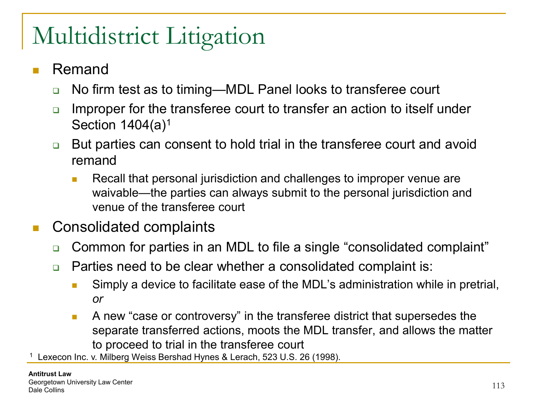- Remand
	- **□** No firm test as to timing—MDL Panel looks to transferee court
	- Improper for the transferee court to transfer an action to itself under Section  $1404(a)^1$
	- But parties can consent to hold trial in the transferee court and avoid remand
		- Recall that personal jurisdiction and challenges to improper venue are waivable—the parties can always submit to the personal jurisdiction and venue of the transferee court
- Consolidated complaints
	- □ Common for parties in an MDL to file a single "consolidated complaint"
	- □ Parties need to be clear whether a consolidated complaint is:
		- **Simply a device to facilitate ease of the MDL's administration while in pretrial,** *or*
		- **A** new "case or controversy" in the transferee district that supersedes the separate transferred actions, moots the MDL transfer, and allows the matter to proceed to trial in the transferee court

Lexecon Inc. v. Milberg Weiss Bershad Hynes & Lerach, 523 U.S. 26 (1998).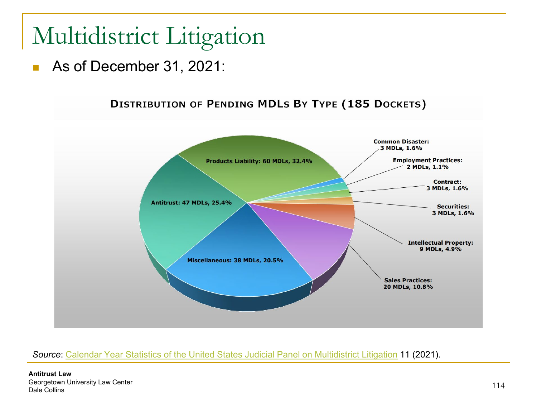As of December 31, 2021:



#### *Source*: [Calendar Year Statistics of the United States Judicial Panel on Multidistrict Litigation](https://www.jpml.uscourts.gov/sites/jpml/files/JPML_Calendar_Year_Statistics-2021.pdf) 11 (2021).

**Antitrust Law** Georgetown University Law Center Dale Collins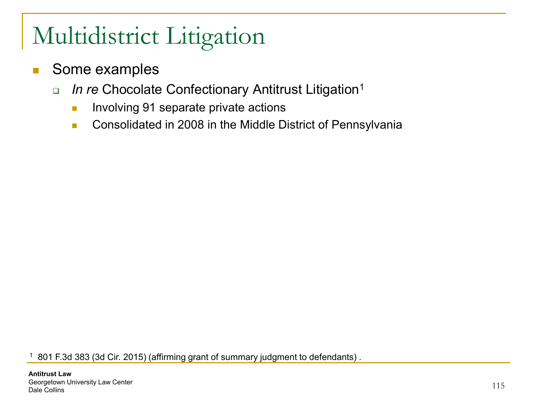- Some examples
	- *In re* Chocolate Confectionary Antitrust Litigation1
		- **Involving 91 separate private actions**
		- **Consolidated in 2008 in the Middle District of Pennsylvania**

<sup>1</sup> 801 F.3d 383 (3d Cir. 2015) (affirming grant of summary judgment to defendants) .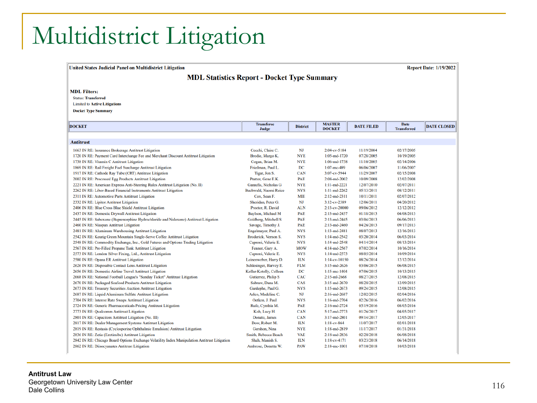United States Judicial Panel on Multidistrict Litigation

**Report Date: 1/19/2022** 

**MDL Statistics Report - Docket Type Summary** 

#### **MDL Filters:**

**Status: Transferred** 

**Limited to Active Litigations** 

**Docket Type Summary** 

| <b>Antitrust</b><br>1663 IN RE: Insurance Brokerage Antitrust Litigation                      | Cecchi, Claire C.<br>Brodie, Margo K.<br>Cogan, Brian M. | NJ<br><b>NYE</b> | 2:04-cv-5184       |            |            |  |
|-----------------------------------------------------------------------------------------------|----------------------------------------------------------|------------------|--------------------|------------|------------|--|
|                                                                                               |                                                          |                  |                    |            |            |  |
|                                                                                               |                                                          |                  |                    |            |            |  |
|                                                                                               |                                                          |                  |                    | 11/19/2004 | 02/17/2005 |  |
| 1720 IN RE: Payment Card Interchange Fee and Merchant Discount Antitrust Litigation           |                                                          |                  | $1:05$ -md-1720    | 07/28/2005 | 10/19/2005 |  |
| 1738 IN RE: Vitamin C Antitrust Litigation                                                    |                                                          | <b>NYE</b>       | $1:06$ -md-1738    | 11/10/2005 | 02/14/2006 |  |
| 1869 IN RE: Rail Freight Fuel Surcharge Antitrust Litigation                                  | Friedman, Paul L.                                        | DC               | $1:07$ -mc-489     | 06/06/2007 | 11/06/2007 |  |
| 1917 IN RE: Cathode Ray Tube (CRT) Antitrust Litigation                                       | Tigar, Jon S.                                            | <b>CAN</b>       | 3:07-cv-5944       | 11/29/2007 | 02/15/2008 |  |
| 2002 IN RE: Processed Egg Products Antitrust Litigation                                       | Pratter, Gene E.K.                                       | PAE              | 2:08-md-2002       | 10/09/2008 | 12/02/2008 |  |
| 2221 IN RE: American Express Anti-Steering Rules Antitrust Litigation (No. II)                | Garaufis, Nicholas G                                     | <b>NYE</b>       | $1:11$ -md-2221    | 12/07/2010 | 02/07/2011 |  |
| 2262 IN RE: Libor-Based Financial Instruments Antitrust Litigation                            | Buchwald, Naomi Reice                                    | <b>NYS</b>       | $1:11$ -md-2262    | 05/13/2011 | 08/12/2011 |  |
| 2311 IN RE: Automotive Parts Antitrust Litigation                                             | Cox. Sean F.                                             | <b>MIE</b>       | $2:12$ -md-2311    | 10/11/2011 | 02/07/2012 |  |
| 2332 IN RE: Lipitor Antitrust Litigation                                                      | Sheridan, Peter G.                                       | <b>NJ</b>        | $3:12$ -cv-2389    | 12/06/2011 | 04/20/2012 |  |
| 2406 IN RE: Blue Cross Blue Shield Antitrust Litigation                                       | Proctor, R. David                                        | <b>ALN</b>       | $2:13$ -cv-20000   | 09/06/2012 | 12/12/2012 |  |
| 2437 IN RE: Domestic Drywall Antitrust Litigation                                             | Baylson, Michael M                                       | PAE              | $2:13$ -md-2437    | 01/18/2013 | 04/08/2013 |  |
| 2445 IN RE: Suboxone (Buprenorphine Hydrochloride and Naloxone) Antitrust Litigation          | Goldberg, Mitchell S                                     | PAE              | $2:13$ -md-2445    | 03/04/2013 | 06/06/2013 |  |
| 2460 IN RE: Niaspan Antitrust Litigation                                                      | Savage, Timothy J.                                       | PAE              | $2:13$ -md-2460    | 04/26/2013 | 09/17/2013 |  |
| 2481 IN RE: Aluminum Warehousing Antitrust Litigation                                         | Engelmayer, Paul A.                                      | <b>NYS</b>       | $1:13$ -md-2481    | 08/07/2013 | 12/16/2013 |  |
| 2542 IN RE: Keurig Green Mountain Single-Serve Coffee Antitrust Litigation                    | Broderick, Vernon S.                                     | <b>NYS</b>       | $1:14$ -md-2542    | 03/20/2014 | 06/03/2014 |  |
| 2548 IN RE: Commodity Exchange, Inc., Gold Futures and Options Trading Litigation             | Caproni, Valerie E.                                      | <b>NYS</b>       | $1:14$ -md-2548    | 04/14/2014 | 08/13/2014 |  |
| 2567 IN RE: Pre-Filled Propane Tank Antitrust Litigation                                      | Fenner, Gary A.                                          | <b>MOW</b>       | 4:14-md-2567       | 07/02/2014 | 10/16/2014 |  |
| 2573 IN RE: London Silver Fixing, Ltd., Antitrust Litigation                                  | Caproni, Valerie E.                                      | <b>NYS</b>       | $1:14$ -md-2573    | 08/05/2014 | 10/09/2014 |  |
| 2580 IN RE: Opana ER Antitrust Litigation                                                     | Leinenweber, Harry D.                                    | <b>ILN</b>       | $1:14$ -cv-10150   | 08/26/2014 | 12/12/2014 |  |
| 2626 IN RE: Disposable Contact Lens Antitrust Litigation                                      | Schlesinger, Harvey E.                                   | <b>FLM</b>       | 3:15-md-2626       | 03/06/2015 | 06/08/2015 |  |
| 2656 IN RE: Domestic Airline Travel Antitrust Litigation                                      | Kollar-Kotelly, Colleen                                  | DC               | $1:15$ -mc-1404    | 07/06/2015 | 10/13/2015 |  |
| 2668 IN RE: National Football League's "Sunday Ticket" Antitrust Litigation                   | Gutierrez, Philip S                                      | CAC              | $2:15$ -ml-2668    | 08/27/2015 | 12/08/2015 |  |
| 2670 IN RE: Packaged Seafood Products Antitrust Litigation                                    | Sabraw, Dana M.                                          | CAS              | $3:15$ -md-2670    | 08/28/2015 | 12/09/2015 |  |
| 2673 IN RE: Treasury Securities Auction Antitrust Litigation                                  | Gardephe, Paul G.                                        | <b>NYS</b>       | $1:15$ -md-2673    | 09/24/2015 | 12/08/2015 |  |
| 2687 IN RE: Liquid Aluminum Sulfate Antitrust Litigation                                      | Arleo, Madeline C.                                       | NJ               | $2:16$ -md-2687    | 12/02/2015 | 02/04/2016 |  |
| 2704 IN RE: Interest Rate Swaps Antitrust Litigation                                          | Oetken, J. Paul                                          | <b>NYS</b>       | $1:16$ -md-2704    | 02/26/2016 | 06/02/2016 |  |
| 2724 IN RE: Generic Pharmaceuticals Pricing Antitrust Litigation                              | Rufe, Cynthia M.                                         | PAE              | $2:16$ -md-2724    | 05/19/2016 | 08/05/2016 |  |
| 2773 IN RE: Qualcomm Antitrust Litigation                                                     | Koh, Lucy H.                                             | <b>CAN</b>       | 5:17-md-2773       | 01/26/2017 | 04/05/2017 |  |
| 2801 IN RE: Capacitors Antitrust Litigation (No. III)                                         | Donato, James                                            | <b>CAN</b>       | $3:17$ -md-2801    | 09/14/2017 | 12/05/2017 |  |
| 2817 IN RE: Dealer Management Systems Antitrust Litigation                                    | Dow, Robert M.                                           | <b>ILN</b>       | $1:18-cv-864$      | 11/07/2017 | 02/01/2018 |  |
| 2819 IN RE: Restasis (Cyclosporine Ophthalmic Emulsion) Antitrust Litigation                  | Gershon, Nina                                            | <b>NYE</b>       | 1:18-md-2819       | 11/17/2017 | 01/31/2018 |  |
| 2836 IN RE: Zetia (Ezetimibe) Antitrust Litigation                                            | Smith, Rebecca Beach                                     | <b>VAE</b>       | 2:18-md-2836       | 02/28/2018 | 06/08/2018 |  |
| 2842 IN RE: Chicago Board Options Exchange Volatility Index Manipulation Antitrust Litigation | Shah, Manish S.                                          | <b>ILN</b>       | $1:18$ -cv-4171    | 03/23/2018 | 06/14/2018 |  |
| 2862 IN RE: Diisocyanates Antitrust Litigation                                                | Ambrose, Donetta W.                                      | <b>PAW</b>       | $2:18$ -mc- $1001$ | 07/10/2018 | 10/03/2018 |  |